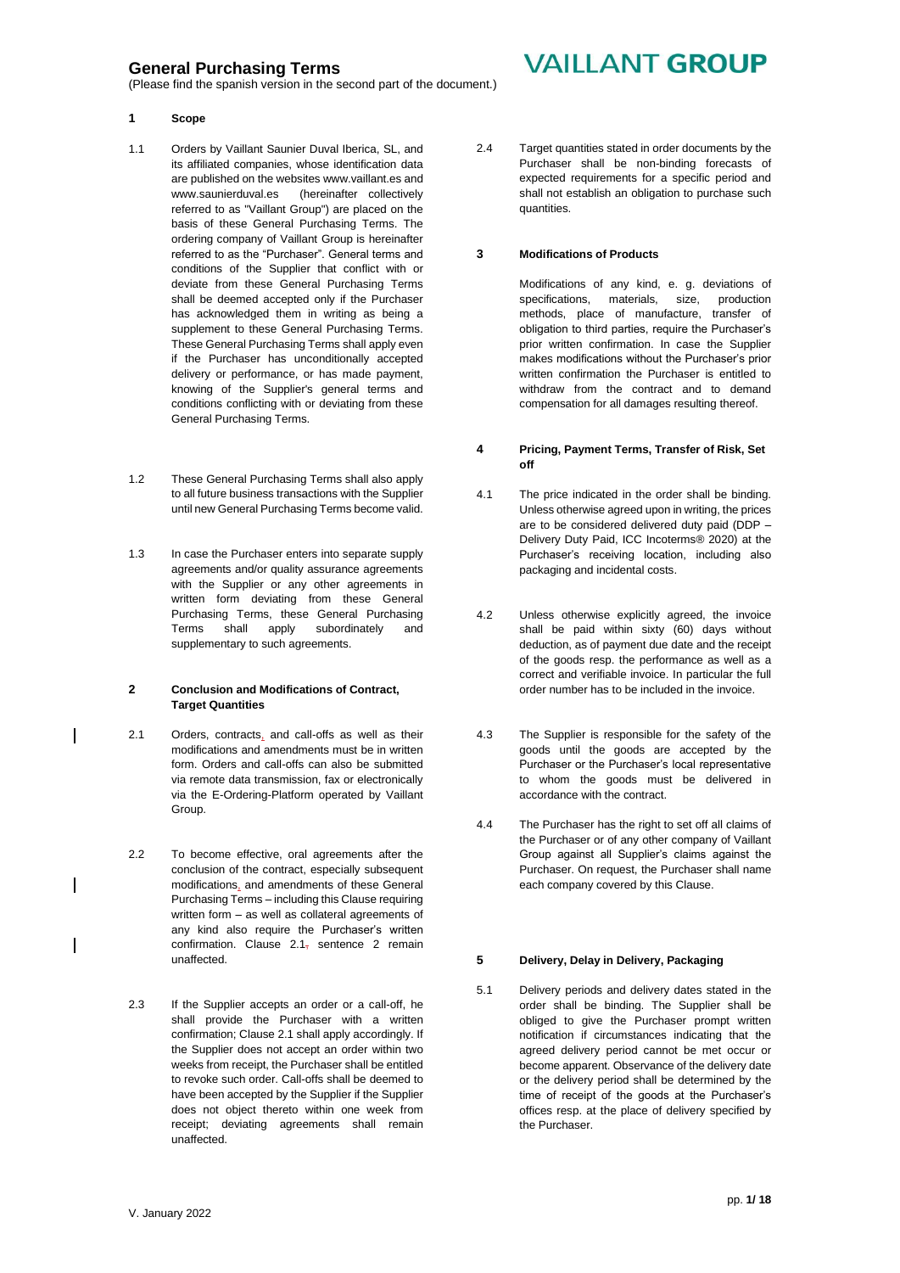(Please find the spanish version in the second part of the document.)

# **VAILLANT GROUP**

### **1 Scope**

- 1.1 Orders by Vaillant Saunier Duval Iberica, SL, and its affiliated companies, whose identification data are published on the websites [www.vaillant.es](http://www.vaillant.es/) and [www.saunierduval.es](http://www.saunierduval.es/) (hereinafter collectively referred to as "Vaillant Group") are placed on the basis of these General Purchasing Terms. The ordering company of Vaillant Group is hereinafter referred to as the "Purchaser". General terms and conditions of the Supplier that conflict with or deviate from these General Purchasing Terms shall be deemed accepted only if the Purchaser has acknowledged them in writing as being a supplement to these General Purchasing Terms. These General Purchasing Terms shall apply even if the Purchaser has unconditionally accepted delivery or performance, or has made payment, knowing of the Supplier's general terms and conditions conflicting with or deviating from these General Purchasing Terms.
- 1.2 These General Purchasing Terms shall also apply to all future business transactions with the Supplier until new General Purchasing Terms become valid.
- 1.3 In case the Purchaser enters into separate supply agreements and/or quality assurance agreements with the Supplier or any other agreements in written form deviating from these General Purchasing Terms, these General Purchasing Terms shall apply subordinately and supplementary to such agreements.

### **2 Conclusion and Modifications of Contract, Target Quantities**

- 2.1 Orders, contracts, and call-offs as well as their modifications and amendments must be in written form. Orders and call-offs can also be submitted via remote data transmission, fax or electronically via the E-Ordering-Platform operated by Vaillant Group.
- 2.2 To become effective, oral agreements after the conclusion of the contract, especially subsequent modifications, and amendments of these General Purchasing Terms – including this Clause requiring written form – as well as collateral agreements of any kind also require the Purchaser's written confirmation. Clause 2.1- sentence 2 remain unaffected.
- 2.3 If the Supplier accepts an order or a call-off, he shall provide the Purchaser with a written confirmation; Clause 2.1 shall apply accordingly. If the Supplier does not accept an order within two weeks from receipt, the Purchaser shall be entitled to revoke such order. Call-offs shall be deemed to have been accepted by the Supplier if the Supplier does not object thereto within one week from receipt; deviating agreements shall remain unaffected.

2.4 Target quantities stated in order documents by the Purchaser shall be non-binding forecasts of expected requirements for a specific period and shall not establish an obligation to purchase such quantities.

### **3 Modifications of Products**

Modifications of any kind, e. g. deviations of specifications, materials, size, production methods, place of manufacture, transfer of obligation to third parties, require the Purchaser's prior written confirmation. In case the Supplier makes modifications without the Purchaser's prior written confirmation the Purchaser is entitled to withdraw from the contract and to demand compensation for all damages resulting thereof.

### **4 Pricing, Payment Terms, Transfer of Risk, Set off**

- 4.1 The price indicated in the order shall be binding. Unless otherwise agreed upon in writing, the prices are to be considered delivered duty paid (DDP – Delivery Duty Paid, ICC Incoterms® 2020) at the Purchaser's receiving location, including also packaging and incidental costs.
- 4.2 Unless otherwise explicitly agreed, the invoice shall be paid within sixty (60) days without deduction, as of payment due date and the receipt of the goods resp. the performance as well as a correct and verifiable invoice. In particular the full order number has to be included in the invoice.
- 4.3 The Supplier is responsible for the safety of the goods until the goods are accepted by the Purchaser or the Purchaser's local representative to whom the goods must be delivered in accordance with the contract.
- 4.4 The Purchaser has the right to set off all claims of the Purchaser or of any other company of Vaillant Group against all Supplier's claims against the Purchaser. On request, the Purchaser shall name each company covered by this Clause.

### **5 Delivery, Delay in Delivery, Packaging**

5.1 Delivery periods and delivery dates stated in the order shall be binding. The Supplier shall be obliged to give the Purchaser prompt written notification if circumstances indicating that the agreed delivery period cannot be met occur or become apparent. Observance of the delivery date or the delivery period shall be determined by the time of receipt of the goods at the Purchaser's offices resp. at the place of delivery specified by the Purchaser.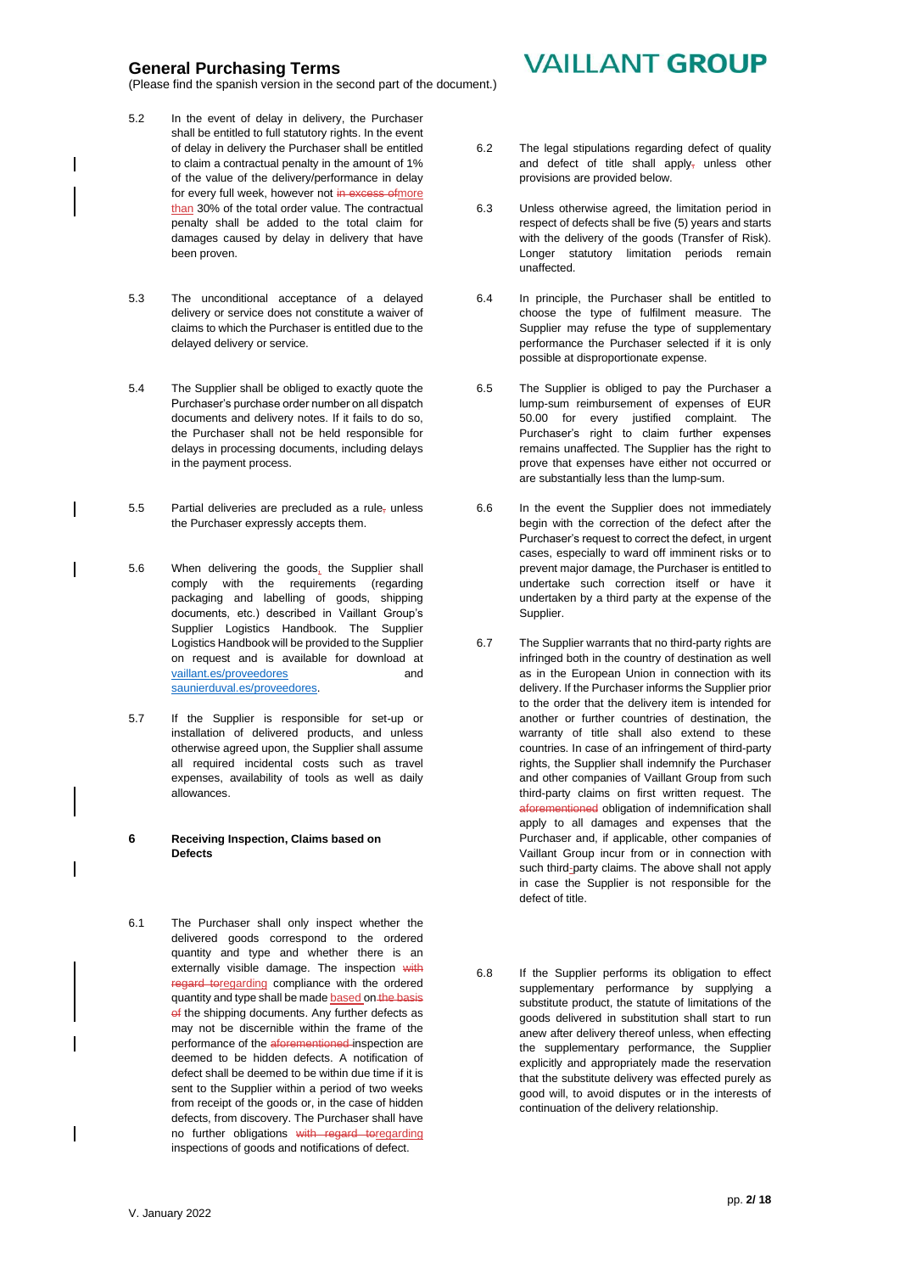(Please find the spanish version in the second part of the document.)

- 5.2 In the event of delay in delivery, the Purchaser shall be entitled to full statutory rights. In the event of delay in delivery the Purchaser shall be entitled to claim a contractual penalty in the amount of 1% of the value of the delivery/performance in delay for every full week, however not in excess ofmore than 30% of the total order value. The contractual penalty shall be added to the total claim for damages caused by delay in delivery that have been proven.
- 5.3 The unconditional acceptance of a delayed delivery or service does not constitute a waiver of claims to which the Purchaser is entitled due to the delayed delivery or service.
- 5.4 The Supplier shall be obliged to exactly quote the Purchaser's purchase order number on all dispatch documents and delivery notes. If it fails to do so, the Purchaser shall not be held responsible for delays in processing documents, including delays in the payment process.
- 5.5 Partial deliveries are precluded as a rule, unless the Purchaser expressly accepts them.
- 5.6 When delivering the goods, the Supplier shall comply with the requirements (regarding packaging and labelling of goods, shipping documents, etc.) described in Vaillant Group's Supplier Logistics Handbook. The Supplier Logistics Handbook will be provided to the Supplier on request and is available for download at [vaillant.es/p](http://vaillant.es/)roveedores and [saunierduval.es/](http://www.saunierduval.es/)proveedores.
- 5.7 If the Supplier is responsible for set-up or installation of delivered products, and unless otherwise agreed upon, the Supplier shall assume all required incidental costs such as travel expenses, availability of tools as well as daily allowances.

#### **6 Receiving Inspection, Claims based on Defects**

6.1 The Purchaser shall only inspect whether the delivered goods correspond to the ordered quantity and type and whether there is an externally visible damage. The inspection with regard toregarding compliance with the ordered quantity and type shall be made based on the basis of the shipping documents. Any further defects as may not be discernible within the frame of the performance of the aforementioned inspection are deemed to be hidden defects. A notification of defect shall be deemed to be within due time if it is sent to the Supplier within a period of two weeks from receipt of the goods or, in the case of hidden defects, from discovery. The Purchaser shall have no further obligations with regard toregarding inspections of goods and notifications of defect.

# **VAILLANT GROUP**

- 6.2 The legal stipulations regarding defect of quality and defect of title shall apply, unless other provisions are provided below.
- 6.3 Unless otherwise agreed, the limitation period in respect of defects shall be five (5) years and starts with the delivery of the goods (Transfer of Risk). Longer statutory limitation periods remain unaffected.
- 6.4 In principle, the Purchaser shall be entitled to choose the type of fulfilment measure. The Supplier may refuse the type of supplementary performance the Purchaser selected if it is only possible at disproportionate expense.
- 6.5 The Supplier is obliged to pay the Purchaser a lump-sum reimbursement of expenses of EUR 50.00 for every justified complaint. The Purchaser's right to claim further expenses remains unaffected. The Supplier has the right to prove that expenses have either not occurred or are substantially less than the lump-sum.
- 6.6 In the event the Supplier does not immediately begin with the correction of the defect after the Purchaser's request to correct the defect, in urgent cases, especially to ward off imminent risks or to prevent major damage, the Purchaser is entitled to undertake such correction itself or have it undertaken by a third party at the expense of the Supplier.
- 6.7 The Supplier warrants that no third-party rights are infringed both in the country of destination as well as in the European Union in connection with its delivery. If the Purchaser informs the Supplier prior to the order that the delivery item is intended for another or further countries of destination, the warranty of title shall also extend to these countries. In case of an infringement of third-party rights, the Supplier shall indemnify the Purchaser and other companies of Vaillant Group from such third-party claims on first written request. The aforementioned obligation of indemnification shall apply to all damages and expenses that the Purchaser and, if applicable, other companies of Vaillant Group incur from or in connection with such third-party claims. The above shall not apply in case the Supplier is not responsible for the defect of title.
- 6.8 If the Supplier performs its obligation to effect supplementary performance by supplying a substitute product, the statute of limitations of the goods delivered in substitution shall start to run anew after delivery thereof unless, when effecting the supplementary performance, the Supplier explicitly and appropriately made the reservation that the substitute delivery was effected purely as good will, to avoid disputes or in the interests of continuation of the delivery relationship.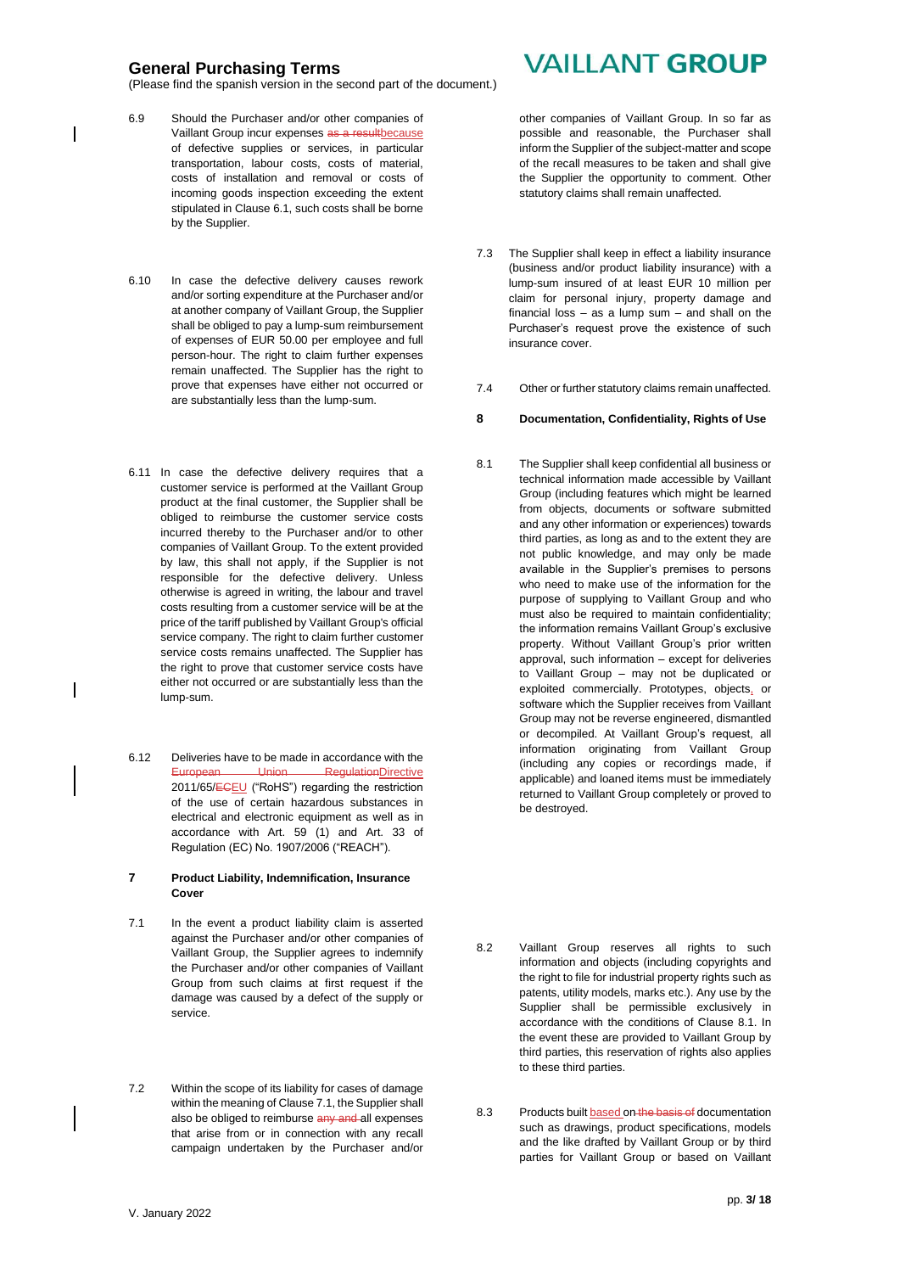(Please find the spanish version in the second part of the document.)

- 6.9 Should the Purchaser and/or other companies of Vaillant Group incur expenses as a resultbecause of defective supplies or services, in particular transportation, labour costs, costs of material, costs of installation and removal or costs of incoming goods inspection exceeding the extent stipulated in Clause 6.1, such costs shall be borne by the Supplier.
- 6.10 In case the defective delivery causes rework and/or sorting expenditure at the Purchaser and/or at another company of Vaillant Group, the Supplier shall be obliged to pay a lump-sum reimbursement of expenses of EUR 50.00 per employee and full person-hour. The right to claim further expenses remain unaffected. The Supplier has the right to prove that expenses have either not occurred or are substantially less than the lump-sum.
- 6.11 In case the defective delivery requires that a customer service is performed at the Vaillant Group product at the final customer, the Supplier shall be obliged to reimburse the customer service costs incurred thereby to the Purchaser and/or to other companies of Vaillant Group. To the extent provided by law, this shall not apply, if the Supplier is not responsible for the defective delivery. Unless otherwise is agreed in writing, the labour and travel costs resulting from a customer service will be at the price of the tariff published by Vaillant Group's official service company. The right to claim further customer service costs remains unaffected. The Supplier has the right to prove that customer service costs have either not occurred or are substantially less than the lump-sum.
- 6.12 Deliveries have to be made in accordance with the European Union RegulationDirective 2011/65/ECEU ("RoHS") regarding the restriction of the use of certain hazardous substances in electrical and electronic equipment as well as in accordance with Art. 59 (1) and Art. 33 of Regulation (EC) No. 1907/2006 ("REACH").

#### **7 Product Liability, Indemnification, Insurance Cover**

- 7.1 In the event a product liability claim is asserted against the Purchaser and/or other companies of Vaillant Group, the Supplier agrees to indemnify the Purchaser and/or other companies of Vaillant Group from such claims at first request if the damage was caused by a defect of the supply or service.
- 7.2 Within the scope of its liability for cases of damage within the meaning of Clause 7.1, the Supplier shall also be obliged to reimburse any and all expenses that arise from or in connection with any recall campaign undertaken by the Purchaser and/or

# **VAILLANT GROUP**

other companies of Vaillant Group. In so far as possible and reasonable, the Purchaser shall inform the Supplier of the subject-matter and scope of the recall measures to be taken and shall give the Supplier the opportunity to comment. Other statutory claims shall remain unaffected.

- 7.3 The Supplier shall keep in effect a liability insurance (business and/or product liability insurance) with a lump-sum insured of at least EUR 10 million per claim for personal injury, property damage and financial loss – as a lump sum – and shall on the Purchaser's request prove the existence of such insurance cover.
- 7.4 Other or further statutory claims remain unaffected.
- **8 Documentation, Confidentiality, Rights of Use**
- 8.1 The Supplier shall keep confidential all business or technical information made accessible by Vaillant Group (including features which might be learned from objects, documents or software submitted and any other information or experiences) towards third parties, as long as and to the extent they are not public knowledge, and may only be made available in the Supplier's premises to persons who need to make use of the information for the purpose of supplying to Vaillant Group and who must also be required to maintain confidentiality; the information remains Vaillant Group's exclusive property. Without Vaillant Group's prior written approval, such information – except for deliveries to Vaillant Group – may not be duplicated or exploited commercially. Prototypes, objects, or software which the Supplier receives from Vaillant Group may not be reverse engineered, dismantled or decompiled. At Vaillant Group's request, all information originating from Vaillant Group (including any copies or recordings made, if applicable) and loaned items must be immediately returned to Vaillant Group completely or proved to be destroyed.
- 8.2 Vaillant Group reserves all rights to such information and objects (including copyrights and the right to file for industrial property rights such as patents, utility models, marks etc.). Any use by the Supplier shall be permissible exclusively in accordance with the conditions of Clause 8.1. In the event these are provided to Vaillant Group by third parties, this reservation of rights also applies to these third parties.
- 8.3 Products built based on the basis of documentation such as drawings, product specifications, models and the like drafted by Vaillant Group or by third parties for Vaillant Group or based on Vaillant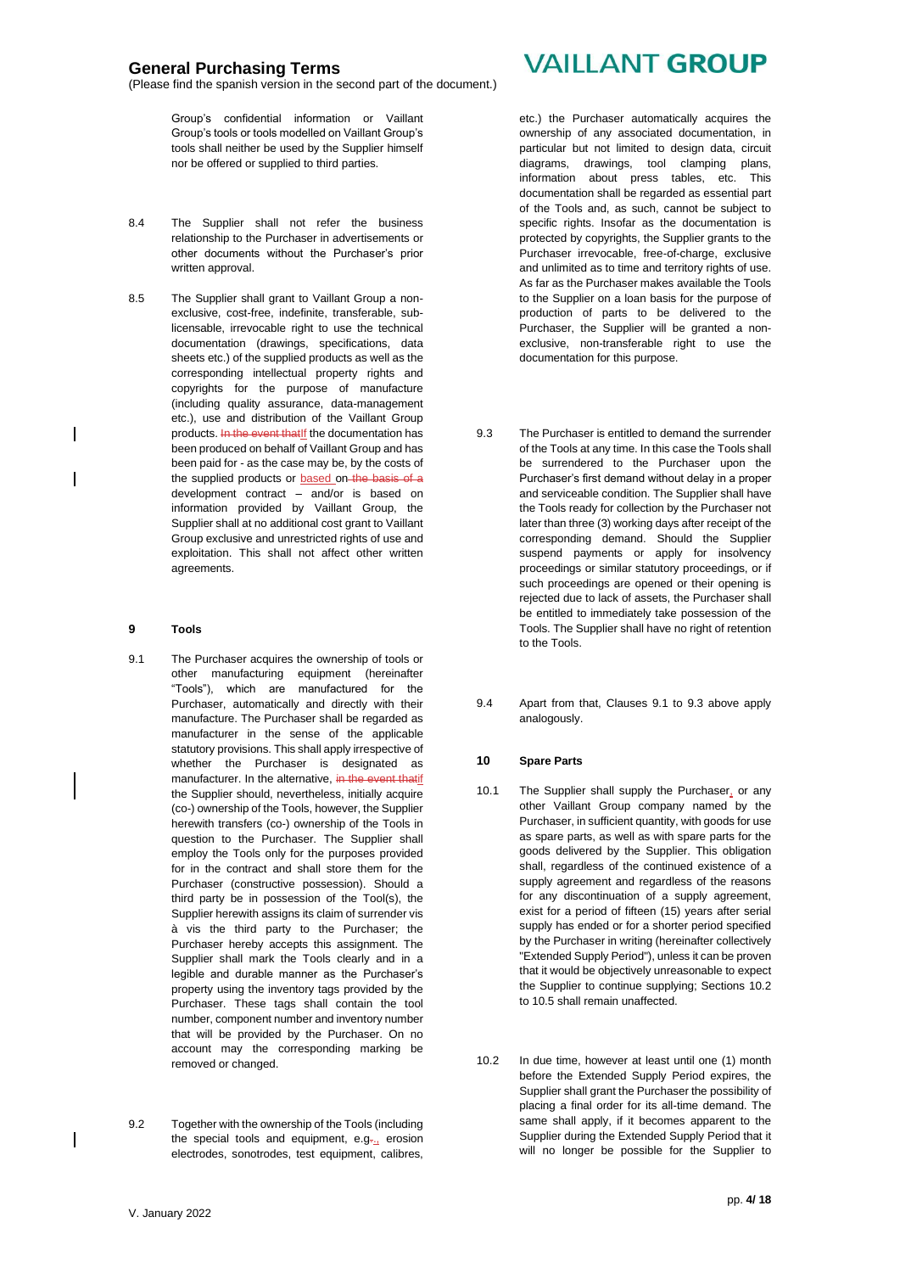(Please find the spanish version in the second part of the document.)

Group's confidential information or Vaillant Group's tools or tools modelled on Vaillant Group's tools shall neither be used by the Supplier himself nor be offered or supplied to third parties.

- 8.4 The Supplier shall not refer the business relationship to the Purchaser in advertisements or other documents without the Purchaser's prior written approval.
- 8.5 The Supplier shall grant to Vaillant Group a nonexclusive, cost-free, indefinite, transferable, sublicensable, irrevocable right to use the technical documentation (drawings, specifications, data sheets etc.) of the supplied products as well as the corresponding intellectual property rights and copyrights for the purpose of manufacture (including quality assurance, data-management etc.), use and distribution of the Vaillant Group products. In the event thatIf the documentation has been produced on behalf of Vaillant Group and has been paid for - as the case may be, by the costs of the supplied products or **based** on the basis of a development contract – and/or is based on information provided by Vaillant Group, the Supplier shall at no additional cost grant to Vaillant Group exclusive and unrestricted rights of use and exploitation. This shall not affect other written agreements.

### **9 Tools**

- 9.1 The Purchaser acquires the ownership of tools or other manufacturing equipment (hereinafter "Tools"), which are manufactured for the Purchaser, automatically and directly with their manufacture. The Purchaser shall be regarded as manufacturer in the sense of the applicable statutory provisions. This shall apply irrespective of whether the Purchaser is designated as manufacturer. In the alternative, in the event thatif the Supplier should, nevertheless, initially acquire (co-) ownership of the Tools, however, the Supplier herewith transfers (co-) ownership of the Tools in question to the Purchaser. The Supplier shall employ the Tools only for the purposes provided for in the contract and shall store them for the Purchaser (constructive possession). Should a third party be in possession of the Tool(s), the Supplier herewith assigns its claim of surrender vis à vis the third party to the Purchaser; the Purchaser hereby accepts this assignment. The Supplier shall mark the Tools clearly and in a legible and durable manner as the Purchaser's property using the inventory tags provided by the Purchaser. These tags shall contain the tool number, component number and inventory number that will be provided by the Purchaser. On no account may the corresponding marking be removed or changed.
- 9.2 Together with the ownership of the Tools (including the special tools and equipment, e.g. $\frac{1}{2}$  erosion electrodes, sonotrodes, test equipment, calibres,

# **VAILLANT GROUP**

etc.) the Purchaser automatically acquires the ownership of any associated documentation, in particular but not limited to design data, circuit diagrams, drawings, tool clamping plans, information about press tables, etc. This documentation shall be regarded as essential part of the Tools and, as such, cannot be subject to specific rights. Insofar as the documentation is protected by copyrights, the Supplier grants to the Purchaser irrevocable, free-of-charge, exclusive and unlimited as to time and territory rights of use. As far as the Purchaser makes available the Tools to the Supplier on a loan basis for the purpose of production of parts to be delivered to the Purchaser, the Supplier will be granted a nonexclusive, non-transferable right to use the documentation for this purpose.

- 9.3 The Purchaser is entitled to demand the surrender of the Tools at any time. In this case the Tools shall be surrendered to the Purchaser upon the Purchaser's first demand without delay in a proper and serviceable condition. The Supplier shall have the Tools ready for collection by the Purchaser not later than three (3) working days after receipt of the corresponding demand. Should the Supplier suspend payments or apply for insolvency proceedings or similar statutory proceedings, or if such proceedings are opened or their opening is rejected due to lack of assets, the Purchaser shall be entitled to immediately take possession of the Tools. The Supplier shall have no right of retention to the Tools.
- 9.4 Apart from that, Clauses 9.1 to 9.3 above apply analogously.

#### **10 Spare Parts**

- 10.1 The Supplier shall supply the Purchaser, or any other Vaillant Group company named by the Purchaser, in sufficient quantity, with goods for use as spare parts, as well as with spare parts for the goods delivered by the Supplier. This obligation shall, regardless of the continued existence of a supply agreement and regardless of the reasons for any discontinuation of a supply agreement, exist for a period of fifteen (15) years after serial supply has ended or for a shorter period specified by the Purchaser in writing (hereinafter collectively "Extended Supply Period"), unless it can be proven that it would be objectively unreasonable to expect the Supplier to continue supplying; Sections 10.2 to 10.5 shall remain unaffected.
- 10.2 In due time, however at least until one (1) month before the Extended Supply Period expires, the Supplier shall grant the Purchaser the possibility of placing a final order for its all-time demand. The same shall apply, if it becomes apparent to the Supplier during the Extended Supply Period that it will no longer be possible for the Supplier to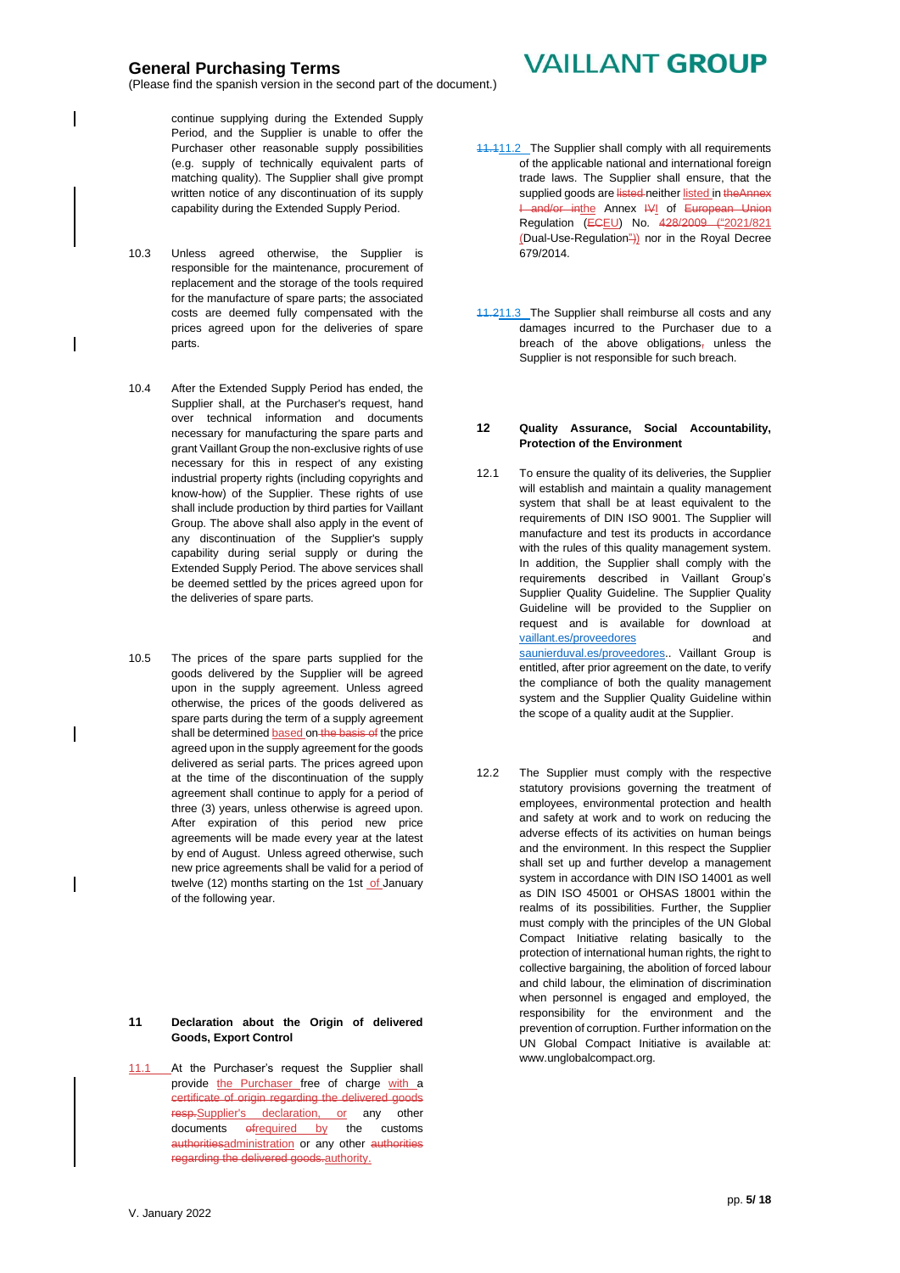(Please find the spanish version in the second part of the document.)

continue supplying during the Extended Supply Period, and the Supplier is unable to offer the Purchaser other reasonable supply possibilities (e.g. supply of technically equivalent parts of matching quality). The Supplier shall give prompt written notice of any discontinuation of its supply capability during the Extended Supply Period.

- 10.3 Unless agreed otherwise, the Supplier is responsible for the maintenance, procurement of replacement and the storage of the tools required for the manufacture of spare parts; the associated costs are deemed fully compensated with the prices agreed upon for the deliveries of spare parts.
- 10.4 After the Extended Supply Period has ended, the Supplier shall, at the Purchaser's request, hand over technical information and documents necessary for manufacturing the spare parts and grant Vaillant Group the non-exclusive rights of use necessary for this in respect of any existing industrial property rights (including copyrights and know-how) of the Supplier. These rights of use shall include production by third parties for Vaillant Group. The above shall also apply in the event of any discontinuation of the Supplier's supply capability during serial supply or during the Extended Supply Period. The above services shall be deemed settled by the prices agreed upon for the deliveries of spare parts.
- 10.5 The prices of the spare parts supplied for the goods delivered by the Supplier will be agreed upon in the supply agreement. Unless agreed otherwise, the prices of the goods delivered as spare parts during the term of a supply agreement shall be determined based on the basis of the price agreed upon in the supply agreement for the goods delivered as serial parts. The prices agreed upon at the time of the discontinuation of the supply agreement shall continue to apply for a period of three (3) years, unless otherwise is agreed upon. After expiration of this period new price agreements will be made every year at the latest by end of August. Unless agreed otherwise, such new price agreements shall be valid for a period of twelve (12) months starting on the 1st of January of the following year.

#### **11 Declaration about the Origin of delivered Goods, Export Control**

11.1 At the Purchaser's request the Supplier shall provide the Purchaser free of charge with a certificate of origin regarding the delivered goods resp.Supplier's declaration, or any other documents ofrequired by the customs authoritiesadministration or any other authorities regarding the delivered goods.authority.

# **VAILLANT GROUP**

- 11.111.2 The Supplier shall comply with all requirements of the applicable national and international foreign trade laws. The Supplier shall ensure, that the supplied goods are listed neither listed in the Annex I and/or inthe Annex IVI of European Union Regulation (ECEU) No. 428/2009 ("2021/821 (Dual-Use-Regulation")) nor in the Royal Decree 679/2014.
- 11.211.3 The Supplier shall reimburse all costs and any damages incurred to the Purchaser due to a breach of the above obligations, unless the Supplier is not responsible for such breach.

#### **12 Quality Assurance, Social Accountability, Protection of the Environment**

- 12.1 To ensure the quality of its deliveries, the Supplier will establish and maintain a quality management system that shall be at least equivalent to the requirements of DIN ISO 9001. The Supplier will manufacture and test its products in accordance with the rules of this quality management system. In addition, the Supplier shall comply with the requirements described in Vaillant Group's Supplier Quality Guideline. The Supplier Quality Guideline will be provided to the Supplier on request and is available for download at [vaillant.es/](http://vaillant.es/)proveedores and [saunierduval.es/](http://www.saunierduval.es/)proveedores. Vaillant Group is entitled, after prior agreement on the date, to verify the compliance of both the quality management system and the Supplier Quality Guideline within the scope of a quality audit at the Supplier.
- 12.2 The Supplier must comply with the respective statutory provisions governing the treatment of employees, environmental protection and health and safety at work and to work on reducing the adverse effects of its activities on human beings and the environment. In this respect the Supplier shall set up and further develop a management system in accordance with DIN ISO 14001 as well as DIN ISO 45001 or OHSAS 18001 within the realms of its possibilities. Further, the Supplier must comply with the principles of the UN Global Compact Initiative relating basically to the protection of international human rights, the right to collective bargaining, the abolition of forced labour and child labour, the elimination of discrimination when personnel is engaged and employed, the responsibility for the environment and the prevention of corruption. Further information on the UN Global Compact Initiative is available at: [www.unglobalcompact.org.](http://www.unglobalcompact.org/)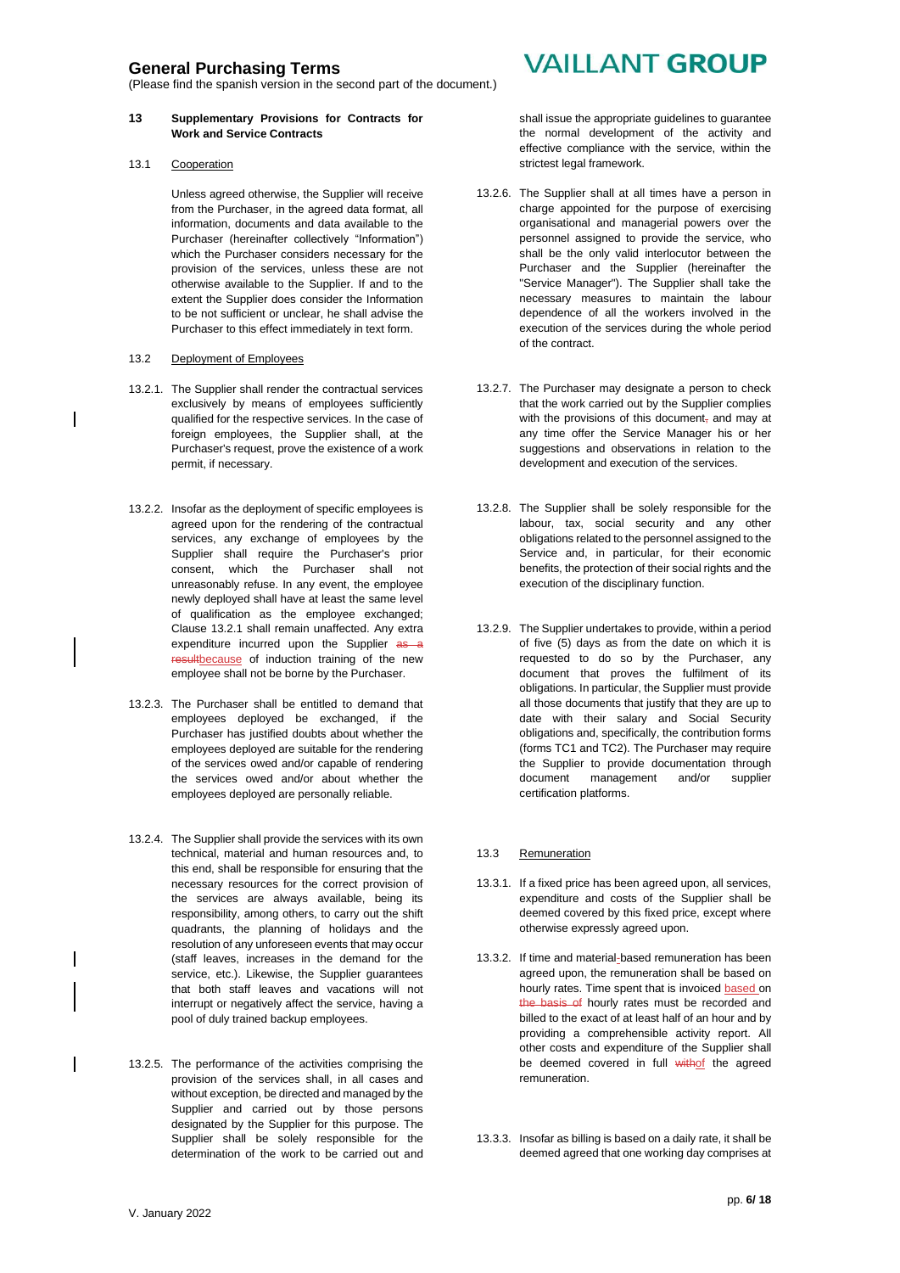(Please find the spanish version in the second part of the document.)

#### **13 Supplementary Provisions for Contracts for Work and Service Contracts**

13.1 Cooperation

Unless agreed otherwise, the Supplier will receive from the Purchaser, in the agreed data format, all information, documents and data available to the Purchaser (hereinafter collectively "Information") which the Purchaser considers necessary for the provision of the services, unless these are not otherwise available to the Supplier. If and to the extent the Supplier does consider the Information to be not sufficient or unclear, he shall advise the Purchaser to this effect immediately in text form.

### 13.2 Deployment of Employees

- 13.2.1. The Supplier shall render the contractual services exclusively by means of employees sufficiently qualified for the respective services. In the case of foreign employees, the Supplier shall, at the Purchaser's request, prove the existence of a work permit, if necessary.
- 13.2.2. Insofar as the deployment of specific employees is agreed upon for the rendering of the contractual services, any exchange of employees by the Supplier shall require the Purchaser's prior consent, which the Purchaser shall not unreasonably refuse. In any event, the employee newly deployed shall have at least the same level of qualification as the employee exchanged; Clause 13.2.1 shall remain unaffected. Any extra expenditure incurred upon the Supplier as a resultbecause of induction training of the new employee shall not be borne by the Purchaser.
- 13.2.3. The Purchaser shall be entitled to demand that employees deployed be exchanged, if the Purchaser has justified doubts about whether the employees deployed are suitable for the rendering of the services owed and/or capable of rendering the services owed and/or about whether the employees deployed are personally reliable.
- 13.2.4. The Supplier shall provide the services with its own technical, material and human resources and, to this end, shall be responsible for ensuring that the necessary resources for the correct provision of the services are always available, being its responsibility, among others, to carry out the shift quadrants, the planning of holidays and the resolution of any unforeseen events that may occur (staff leaves, increases in the demand for the service, etc.). Likewise, the Supplier guarantees that both staff leaves and vacations will not interrupt or negatively affect the service, having a pool of duly trained backup employees.
- 13.2.5. The performance of the activities comprising the provision of the services shall, in all cases and without exception, be directed and managed by the Supplier and carried out by those persons designated by the Supplier for this purpose. The Supplier shall be solely responsible for the determination of the work to be carried out and

# **VAILLANT GROUP**

shall issue the appropriate guidelines to guarantee the normal development of the activity and effective compliance with the service, within the strictest legal framework.

- 13.2.6. The Supplier shall at all times have a person in charge appointed for the purpose of exercising organisational and managerial powers over the personnel assigned to provide the service, who shall be the only valid interlocutor between the Purchaser and the Supplier (hereinafter the "Service Manager"). The Supplier shall take the necessary measures to maintain the labour dependence of all the workers involved in the execution of the services during the whole period of the contract.
- 13.2.7. The Purchaser may designate a person to check that the work carried out by the Supplier complies with the provisions of this document, and may at any time offer the Service Manager his or her suggestions and observations in relation to the development and execution of the services.
- 13.2.8. The Supplier shall be solely responsible for the labour, tax, social security and any other obligations related to the personnel assigned to the Service and, in particular, for their economic benefits, the protection of their social rights and the execution of the disciplinary function.
- 13.2.9. The Supplier undertakes to provide, within a period of five (5) days as from the date on which it is requested to do so by the Purchaser, any document that proves the fulfilment of its obligations. In particular, the Supplier must provide all those documents that justify that they are up to date with their salary and Social Security obligations and, specifically, the contribution forms (forms TC1 and TC2). The Purchaser may require the Supplier to provide documentation through document management and/or supplier certification platforms.

### 13.3 Remuneration

- 13.3.1. If a fixed price has been agreed upon, all services, expenditure and costs of the Supplier shall be deemed covered by this fixed price, except where otherwise expressly agreed upon.
- 13.3.2. If time and material-based remuneration has been agreed upon, the remuneration shall be based on hourly rates. Time spent that is invoiced based on the basis of hourly rates must be recorded and billed to the exact of at least half of an hour and by providing a comprehensible activity report. All other costs and expenditure of the Supplier shall be deemed covered in full withof the agreed remuneration.
- 13.3.3. Insofar as billing is based on a daily rate, it shall be deemed agreed that one working day comprises at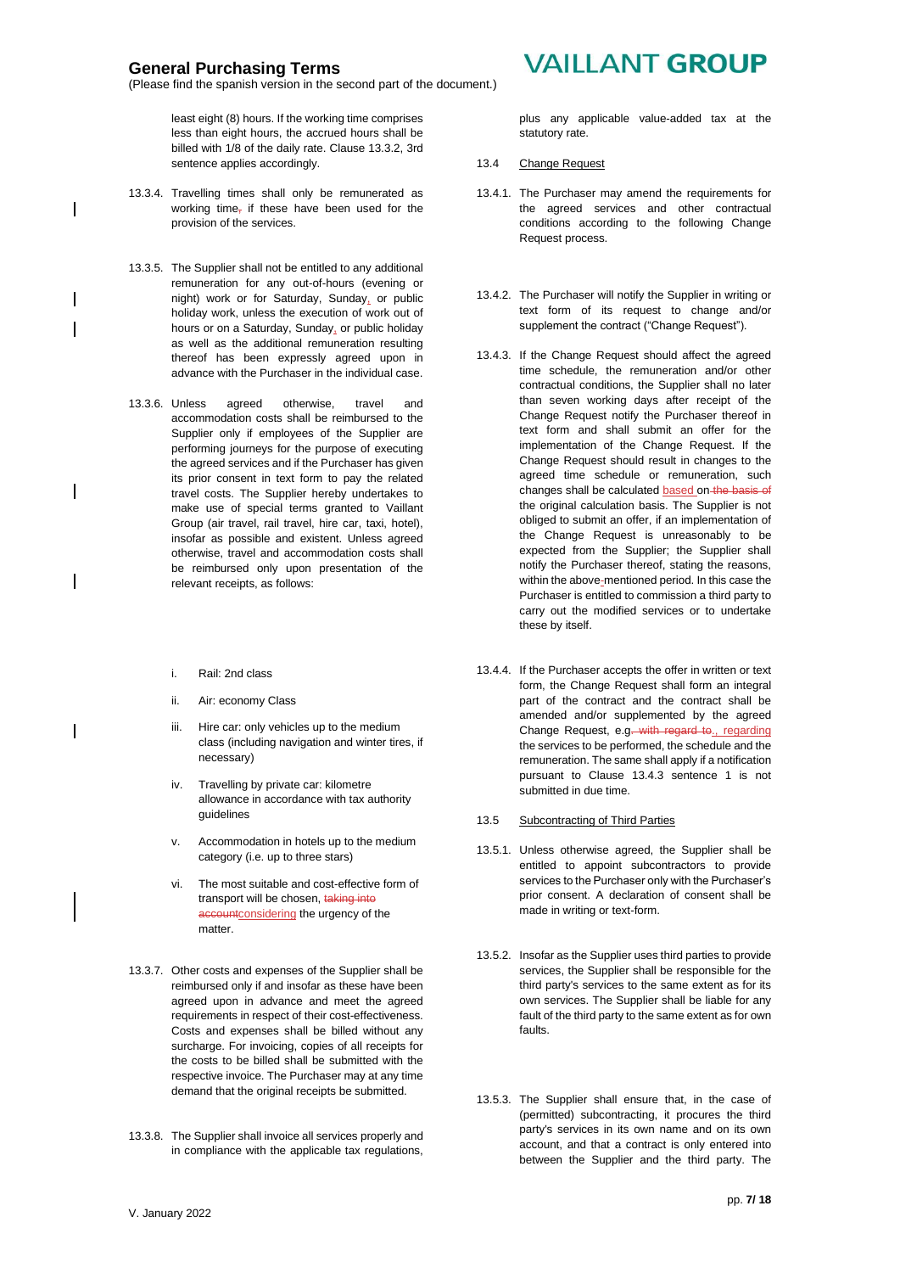(Please find the spanish version in the second part of the document.)

least eight (8) hours. If the working time comprises less than eight hours, the accrued hours shall be billed with 1/8 of the daily rate. Clause 13.3.2, 3rd sentence applies accordingly.

- 13.3.4. Travelling times shall only be remunerated as working time, if these have been used for the provision of the services.
- 13.3.5. The Supplier shall not be entitled to any additional remuneration for any out-of-hours (evening or night) work or for Saturday, Sunday, or public holiday work, unless the execution of work out of hours or on a Saturday, Sunday, or public holiday as well as the additional remuneration resulting thereof has been expressly agreed upon in advance with the Purchaser in the individual case.
- 13.3.6. Unless agreed otherwise, travel and accommodation costs shall be reimbursed to the Supplier only if employees of the Supplier are performing journeys for the purpose of executing the agreed services and if the Purchaser has given its prior consent in text form to pay the related travel costs. The Supplier hereby undertakes to make use of special terms granted to Vaillant Group (air travel, rail travel, hire car, taxi, hotel), insofar as possible and existent. Unless agreed otherwise, travel and accommodation costs shall be reimbursed only upon presentation of the relevant receipts, as follows:
	- i. Rail: 2nd class
	- ii. Air: economy Class
	- iii. Hire car: only vehicles up to the medium class (including navigation and winter tires, if necessary)
	- iv. Travelling by private car: kilometre allowance in accordance with tax authority guidelines
	- v. Accommodation in hotels up to the medium category (i.e. up to three stars)
	- vi. The most suitable and cost-effective form of transport will be chosen, taking into accountconsidering the urgency of the matter.
- 13.3.7. Other costs and expenses of the Supplier shall be reimbursed only if and insofar as these have been agreed upon in advance and meet the agreed requirements in respect of their cost-effectiveness. Costs and expenses shall be billed without any surcharge. For invoicing, copies of all receipts for the costs to be billed shall be submitted with the respective invoice. The Purchaser may at any time demand that the original receipts be submitted.
- 13.3.8. The Supplier shall invoice all services properly and in compliance with the applicable tax regulations,

# **VAILLANT GROUP**

plus any applicable value-added tax at the statutory rate.

- 13.4 Change Request
- 13.4.1. The Purchaser may amend the requirements for the agreed services and other contractual conditions according to the following Change Request process.
- 13.4.2. The Purchaser will notify the Supplier in writing or text form of its request to change and/or supplement the contract ("Change Request").
- 13.4.3. If the Change Request should affect the agreed time schedule, the remuneration and/or other contractual conditions, the Supplier shall no later than seven working days after receipt of the Change Request notify the Purchaser thereof in text form and shall submit an offer for the implementation of the Change Request. If the Change Request should result in changes to the agreed time schedule or remuneration, such changes shall be calculated based on the basis of the original calculation basis. The Supplier is not obliged to submit an offer, if an implementation of the Change Request is unreasonably to be expected from the Supplier; the Supplier shall notify the Purchaser thereof, stating the reasons, within the above-mentioned period. In this case the Purchaser is entitled to commission a third party to carry out the modified services or to undertake these by itself.
- 13.4.4. If the Purchaser accepts the offer in written or text form, the Change Request shall form an integral part of the contract and the contract shall be amended and/or supplemented by the agreed Change Request, e.g. with regard to., regarding the services to be performed, the schedule and the remuneration. The same shall apply if a notification pursuant to Clause 13.4.3 sentence 1 is not submitted in due time.
- 13.5 Subcontracting of Third Parties
- 13.5.1. Unless otherwise agreed, the Supplier shall be entitled to appoint subcontractors to provide services to the Purchaser only with the Purchaser's prior consent. A declaration of consent shall be made in writing or text-form.
- 13.5.2. Insofar as the Supplier uses third parties to provide services, the Supplier shall be responsible for the third party's services to the same extent as for its own services. The Supplier shall be liable for any fault of the third party to the same extent as for own faults.
- 13.5.3. The Supplier shall ensure that, in the case of (permitted) subcontracting, it procures the third party's services in its own name and on its own account, and that a contract is only entered into between the Supplier and the third party. The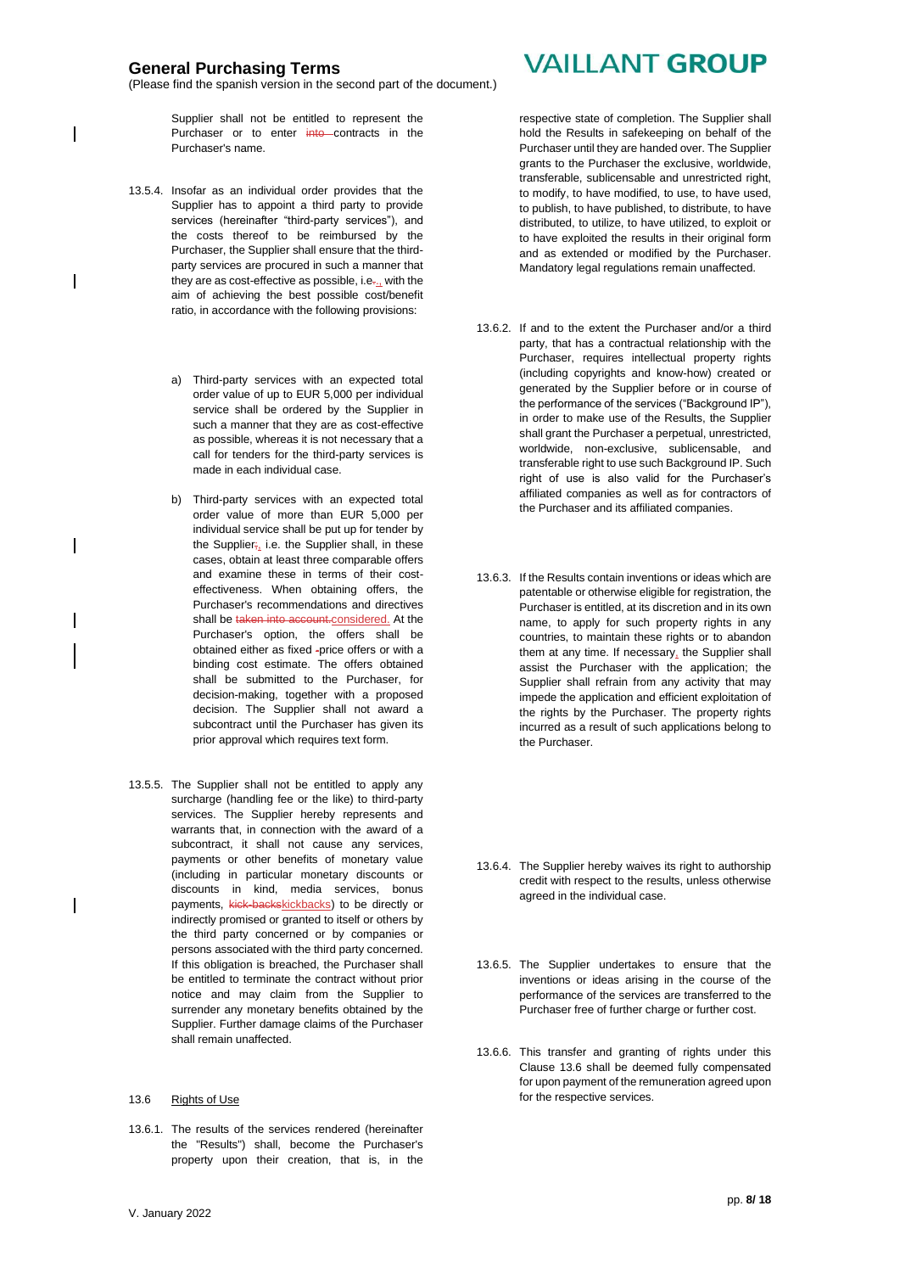(Please find the spanish version in the second part of the document.)

Supplier shall not be entitled to represent the Purchaser or to enter into contracts in the Purchaser's name.

- 13.5.4. Insofar as an individual order provides that the Supplier has to appoint a third party to provide services (hereinafter "third-party services"), and the costs thereof to be reimbursed by the Purchaser, the Supplier shall ensure that the thirdparty services are procured in such a manner that they are as cost-effective as possible, i.e., with the aim of achieving the best possible cost/benefit ratio, in accordance with the following provisions:
	- a) Third-party services with an expected total order value of up to EUR 5,000 per individual service shall be ordered by the Supplier in such a manner that they are as cost-effective as possible, whereas it is not necessary that a call for tenders for the third-party services is made in each individual case.
	- b) Third-party services with an expected total order value of more than EUR 5,000 per individual service shall be put up for tender by the Supplier; i.e. the Supplier shall, in these cases, obtain at least three comparable offers and examine these in terms of their costeffectiveness. When obtaining offers, the Purchaser's recommendations and directives shall be taken into account.considered. At the Purchaser's option, the offers shall be obtained either as fixed -price offers or with a binding cost estimate. The offers obtained shall be submitted to the Purchaser, for decision-making, together with a proposed decision. The Supplier shall not award a subcontract until the Purchaser has given its prior approval which requires text form.
- 13.5.5. The Supplier shall not be entitled to apply any surcharge (handling fee or the like) to third-party services. The Supplier hereby represents and warrants that, in connection with the award of a subcontract, it shall not cause any services, payments or other benefits of monetary value (including in particular monetary discounts or discounts in kind, media services, bonus payments, kick-backskickbacks) to be directly or indirectly promised or granted to itself or others by the third party concerned or by companies or persons associated with the third party concerned. If this obligation is breached, the Purchaser shall be entitled to terminate the contract without prior notice and may claim from the Supplier to surrender any monetary benefits obtained by the Supplier. Further damage claims of the Purchaser shall remain unaffected.

#### 13.6 Rights of Use

13.6.1. The results of the services rendered (hereinafter the "Results") shall, become the Purchaser's property upon their creation, that is, in the

# **VAILLANT GROUP**

respective state of completion. The Supplier shall hold the Results in safekeeping on behalf of the Purchaser until they are handed over. The Supplier grants to the Purchaser the exclusive, worldwide, transferable, sublicensable and unrestricted right, to modify, to have modified, to use, to have used, to publish, to have published, to distribute, to have distributed, to utilize, to have utilized, to exploit or to have exploited the results in their original form and as extended or modified by the Purchaser. Mandatory legal regulations remain unaffected.

- 13.6.2. If and to the extent the Purchaser and/or a third party, that has a contractual relationship with the Purchaser, requires intellectual property rights (including copyrights and know-how) created or generated by the Supplier before or in course of the performance of the services ("Background IP"), in order to make use of the Results, the Supplier shall grant the Purchaser a perpetual, unrestricted, worldwide, non-exclusive, sublicensable, and transferable right to use such Background IP. Such right of use is also valid for the Purchaser's affiliated companies as well as for contractors of the Purchaser and its affiliated companies.
- 13.6.3. If the Results contain inventions or ideas which are patentable or otherwise eligible for registration, the Purchaser is entitled, at its discretion and in its own name, to apply for such property rights in any countries, to maintain these rights or to abandon them at any time. If necessary, the Supplier shall assist the Purchaser with the application; the Supplier shall refrain from any activity that may impede the application and efficient exploitation of the rights by the Purchaser. The property rights incurred as a result of such applications belong to the Purchaser.
- 13.6.4. The Supplier hereby waives its right to authorship credit with respect to the results, unless otherwise agreed in the individual case.
- 13.6.5. The Supplier undertakes to ensure that the inventions or ideas arising in the course of the performance of the services are transferred to the Purchaser free of further charge or further cost.
- 13.6.6. This transfer and granting of rights under this Clause 13.6 shall be deemed fully compensated for upon payment of the remuneration agreed upon for the respective services.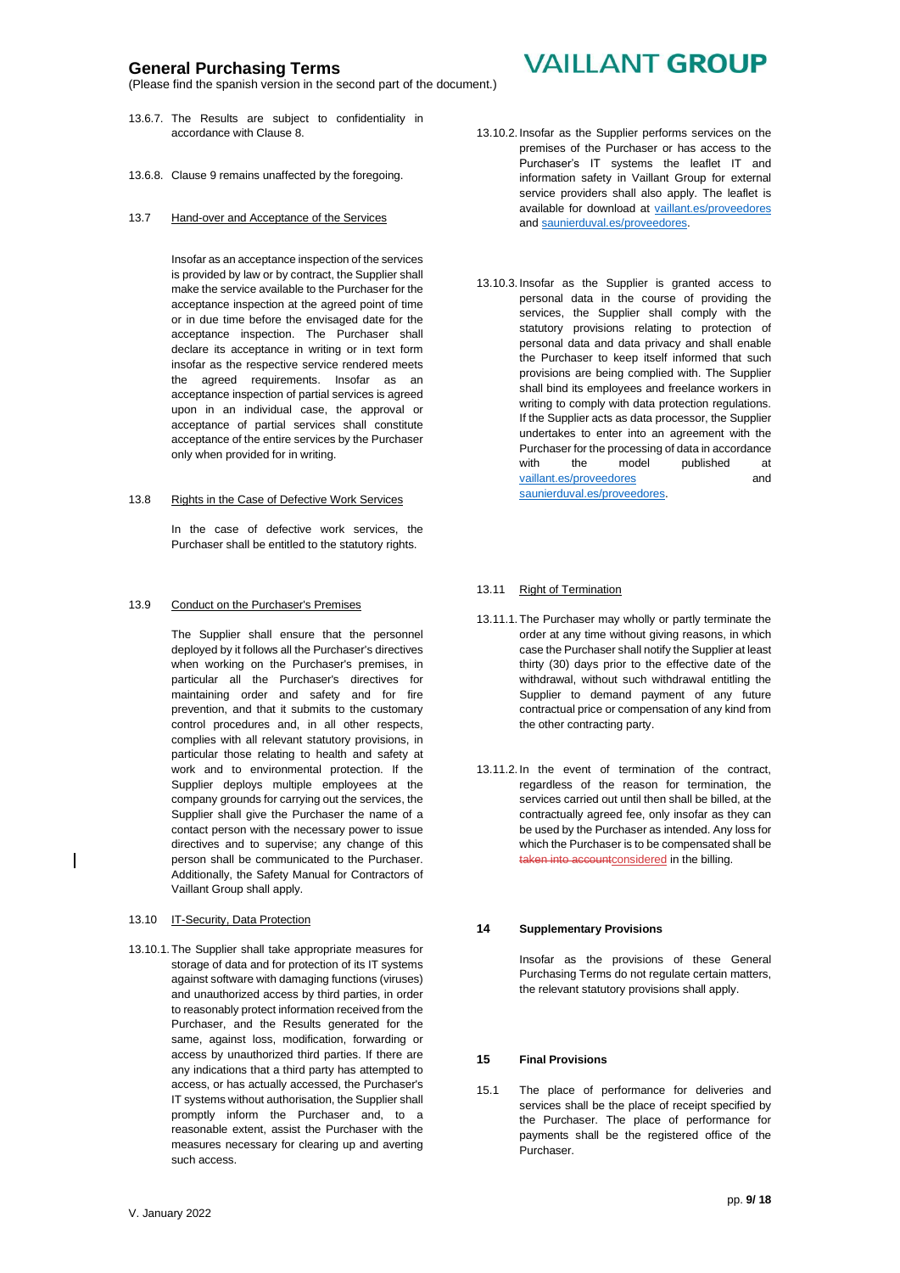(Please find the spanish version in the second part of the document.)

- 13.6.7. The Results are subject to confidentiality in accordance with Clause 8.
- 13.6.8. Clause 9 remains unaffected by the foregoing.

#### 13.7 Hand-over and Acceptance of the Services

Insofar as an acceptance inspection of the services is provided by law or by contract, the Supplier shall make the service available to the Purchaser for the acceptance inspection at the agreed point of time or in due time before the envisaged date for the acceptance inspection. The Purchaser shall declare its acceptance in writing or in text form insofar as the respective service rendered meets the agreed requirements. Insofar as an acceptance inspection of partial services is agreed upon in an individual case, the approval or acceptance of partial services shall constitute acceptance of the entire services by the Purchaser only when provided for in writing.

#### 13.8 Rights in the Case of Defective Work Services

In the case of defective work services, the Purchaser shall be entitled to the statutory rights.

#### 13.9 Conduct on the Purchaser's Premises

The Supplier shall ensure that the personnel deployed by it follows all the Purchaser's directives when working on the Purchaser's premises, in particular all the Purchaser's directives for maintaining order and safety and for fire prevention, and that it submits to the customary control procedures and, in all other respects, complies with all relevant statutory provisions, in particular those relating to health and safety at work and to environmental protection. If the Supplier deploys multiple employees at the company grounds for carrying out the services, the Supplier shall give the Purchaser the name of a contact person with the necessary power to issue directives and to supervise; any change of this person shall be communicated to the Purchaser. Additionally, the Safety Manual for Contractors of Vaillant Group shall apply.

- 13.10 IT-Security, Data Protection
- 13.10.1.The Supplier shall take appropriate measures for storage of data and for protection of its IT systems against software with damaging functions (viruses) and unauthorized access by third parties, in order to reasonably protect information received from the Purchaser, and the Results generated for the same, against loss, modification, forwarding or access by unauthorized third parties. If there are any indications that a third party has attempted to access, or has actually accessed, the Purchaser's IT systems without authorisation, the Supplier shall promptly inform the Purchaser and, to a reasonable extent, assist the Purchaser with the measures necessary for clearing up and averting such access.

# **VAILLANT GROUP**

- 13.10.2. Insofar as the Supplier performs services on the premises of the Purchaser or has access to the Purchaser's IT systems the leaflet IT and information safety in Vaillant Group for external service providers shall also apply. The leaflet is available for download at [vaillant.es/p](http://vaillant.es/)roveedores an[d saunierduval.es/](http://www.saunierduval.es/)proveedores.
- 13.10.3. Insofar as the Supplier is granted access to personal data in the course of providing the services, the Supplier shall comply with the statutory provisions relating to protection of personal data and data privacy and shall enable the Purchaser to keep itself informed that such provisions are being complied with. The Supplier shall bind its employees and freelance workers in writing to comply with data protection regulations. If the Supplier acts as data processor, the Supplier undertakes to enter into an agreement with the Purchaser for the processing of data in accordance with the model published at [vaillant.es/](http://vaillant.es/)proveedores and [saunierduval.es/](http://www.saunierduval.es/)proveedores.

#### 13.11 Right of Termination

- 13.11.1. The Purchaser may wholly or partly terminate the order at any time without giving reasons, in which case the Purchaser shall notify the Supplier at least thirty (30) days prior to the effective date of the withdrawal, without such withdrawal entitling the Supplier to demand payment of any future contractual price or compensation of any kind from the other contracting party.
- 13.11.2. In the event of termination of the contract, regardless of the reason for termination, the services carried out until then shall be billed, at the contractually agreed fee, only insofar as they can be used by the Purchaser as intended. Any loss for which the Purchaser is to be compensated shall be taken into accountconsidered in the billing.

#### **14 Supplementary Provisions**

Insofar as the provisions of these General Purchasing Terms do not regulate certain matters, the relevant statutory provisions shall apply.

#### **15 Final Provisions**

15.1 The place of performance for deliveries and services shall be the place of receipt specified by the Purchaser. The place of performance for payments shall be the registered office of the Purchaser.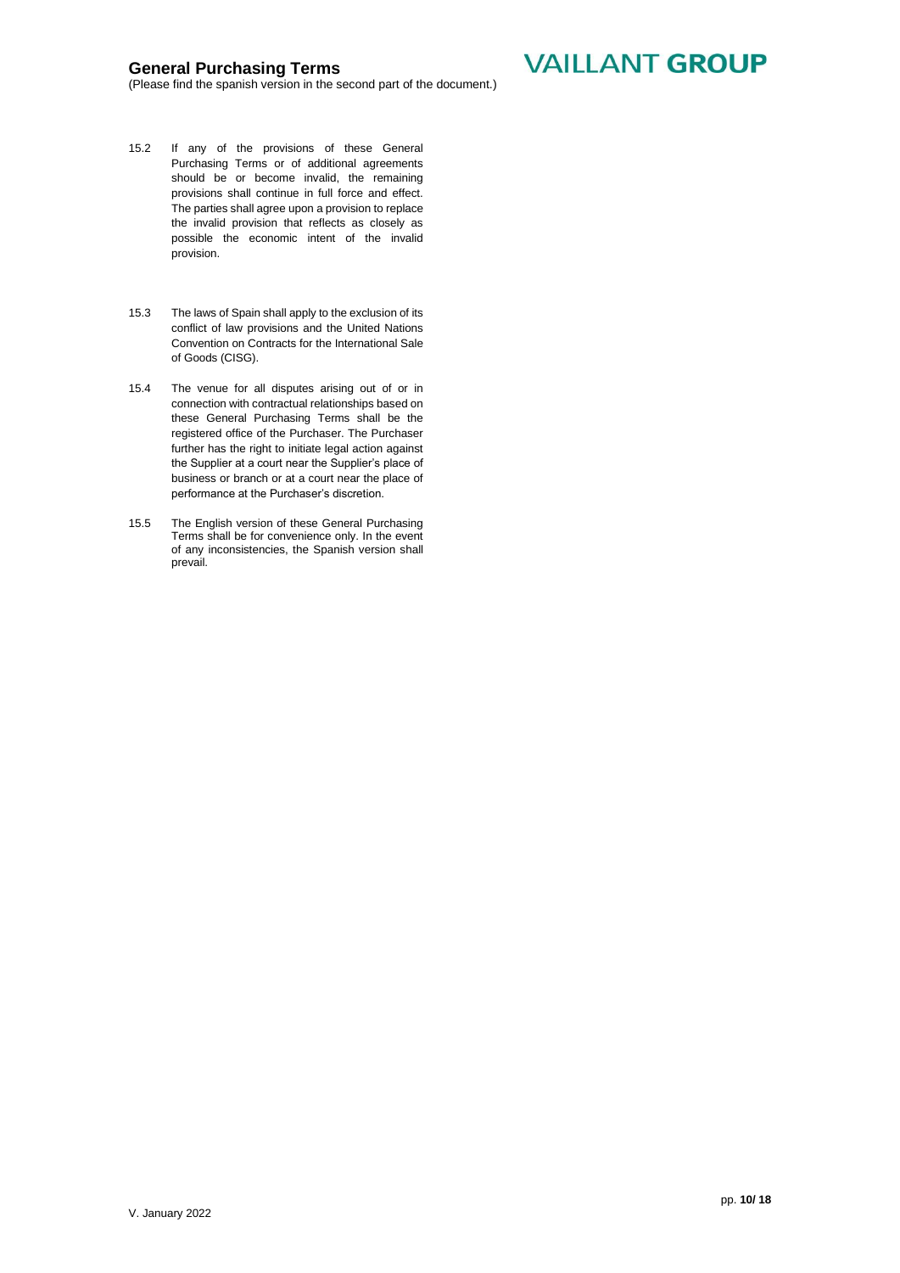**VAILLANT GROUP** 

- 15.2 If any of the provisions of these General Purchasing Terms or of additional agreements should be or become invalid, the remaining provisions shall continue in full force and effect. The parties shall agree upon a provision to replace the invalid provision that reflects as closely as possible the economic intent of the invalid provision.
- 15.3 The laws of Spain shall apply to the exclusion of its conflict of law provisions and the United Nations Convention on Contracts for the International Sale of Goods (CISG).
- 15.4 The venue for all disputes arising out of or in connection with contractual relationships based on these General Purchasing Terms shall be the registered office of the Purchaser. The Purchaser further has the right to initiate legal action against the Supplier at a court near the Supplier's place of business or branch or at a court near the place of performance at the Purchaser's discretion.
- 15.5 The English version of these General Purchasing Terms shall be for convenience only. In the event of any inconsistencies, the Spanish version shall prevail.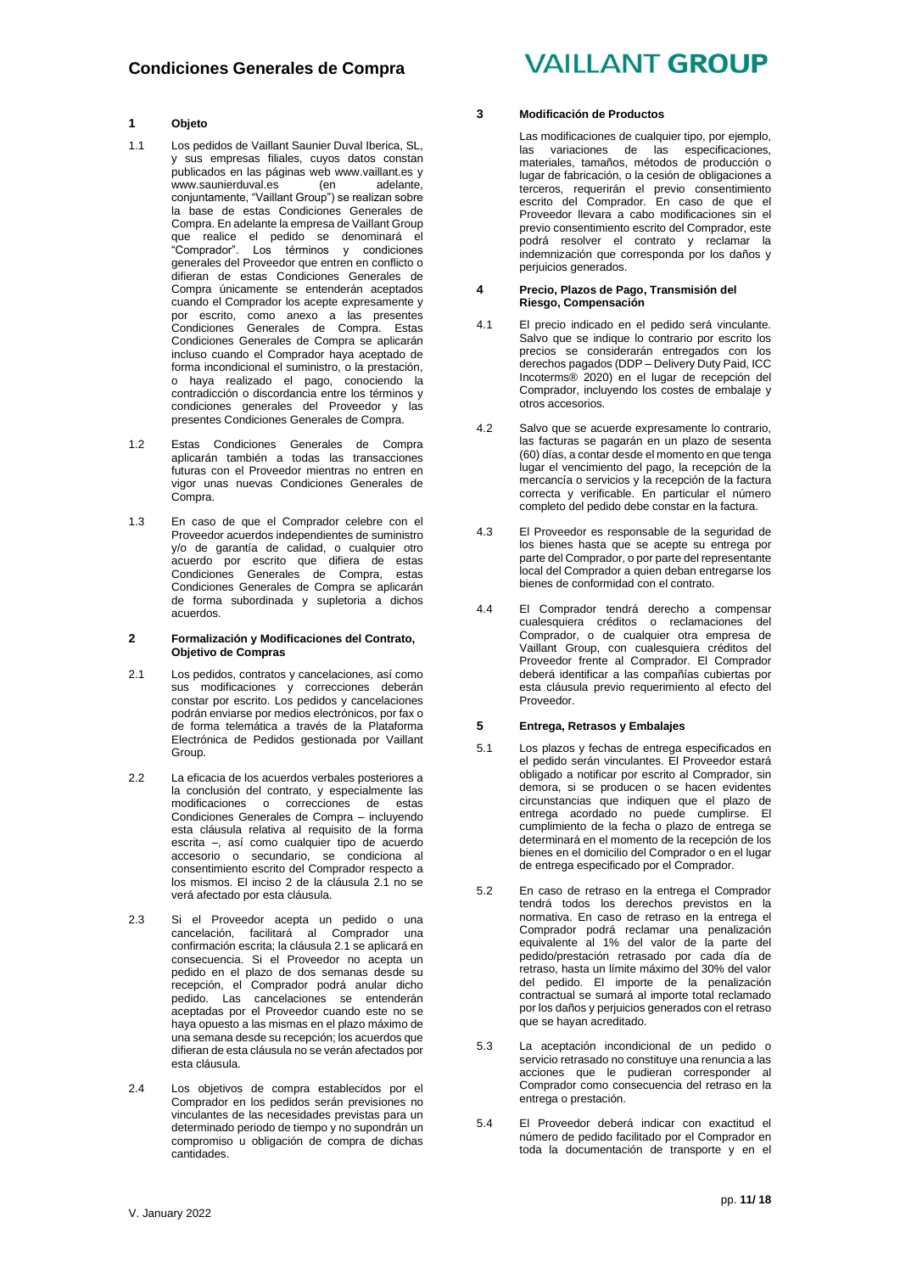### **1 Objeto**

- 1.1 Los pedidos de Vaillant Saunier Duval Iberica, SL, y sus empresas filiales, cuyos datos constan publicados en las páginas web [www.vaillant.es](http://www.vaillant.es/) y www.saunierduval.es (en adelante, conjuntamente, "Vaillant Group") se realizan sobre la base de estas Condiciones Generales de Compra. En adelante la empresa de Vaillant Group que realice el pedido se denominará el "Comprador". Los términos y condiciones generales del Proveedor que entren en conflicto o difieran de estas Condiciones Generales de Compra únicamente se entenderán aceptados cuando el Comprador los acepte expresamente y por escrito, como anexo a las presentes Condiciones Generales de Compra. Estas Condiciones Generales de Compra se aplicarán incluso cuando el Comprador haya aceptado de forma incondicional el suministro, o la prestación, o haya realizado el pago, conociendo la contradicción o discordancia entre los términos y condiciones generales del Proveedor y las presentes Condiciones Generales de Compra.
- 1.2 Estas Condiciones Generales de Compra aplicarán también a todas las transacciones futuras con el Proveedor mientras no entren en vigor unas nuevas Condiciones Generales de Compra.
- 1.3 En caso de que el Comprador celebre con el Proveedor acuerdos independientes de suministro y/o de garantía de calidad, o cualquier otro acuerdo por escrito que difiera de estas Condiciones Generales de Compra, estas Condiciones Generales de Compra se aplicarán de forma subordinada y supletoria a dichos acuerdos.

#### **2 Formalización y Modificaciones del Contrato, Objetivo de Compras**

- 2.1 Los pedidos, contratos y cancelaciones, así como sus modificaciones y correcciones deberán constar por escrito. Los pedidos y cancelaciones podrán enviarse por medios electrónicos, por fax o de forma telemática a través de la Plataforma Electrónica de Pedidos gestionada por Vaillant Group.
- 2.2 La eficacia de los acuerdos verbales posteriores a la conclusión del contrato, y especialmente las modificaciones o correcciones de estas Condiciones Generales de Compra – incluyendo esta cláusula relativa al requisito de la forma escrita –, así como cualquier tipo de acuerdo accesorio o secundario, se condiciona al consentimiento escrito del Comprador respecto a los mismos. El inciso 2 de la cláusula 2.1 no se verá afectado por esta cláusula.
- 2.3 Si el Proveedor acepta un pedido o una cancelación, facilitará al Comprador una confirmación escrita; la cláusula 2.1 se aplicará en consecuencia. Si el Proveedor no acepta un pedido en el plazo de dos semanas desde su recepción, el Comprador podrá anular dicho pedido. Las cancelaciones se entenderán aceptadas por el Proveedor cuando este no se haya opuesto a las mismas en el plazo máximo de una semana desde su recepción; los acuerdos que difieran de esta cláusula no se verán afectados por esta cláusula.
- 2.4 Los objetivos de compra establecidos por el Comprador en los pedidos serán previsiones no vinculantes de las necesidades previstas para un determinado periodo de tiempo y no supondrán un compromiso u obligación de compra de dichas cantidades.

# **VAILLANT GROUP**

#### **3 Modificación de Productos**

Las modificaciones de cualquier tipo, por ejemplo, las variaciones de las especificaciones, materiales, tamaños, métodos de producción o lugar de fabricación, o la cesión de obligaciones a terceros, requerirán el previo consentimiento escrito del Comprador. En caso de que el Proveedor llevara a cabo modificaciones sin el previo consentimiento escrito del Comprador, este podrá resolver el contrato y reclamar la indemnización que corresponda por los daños y perjuicios generados.

#### **4 Precio, Plazos de Pago, Transmisión del Riesgo, Compensación**

- 4.1 El precio indicado en el pedido será vinculante. Salvo que se indique lo contrario por escrito los precios se considerarán entregados con los derechos pagados (DDP – Delivery Duty Paid, ICC Incoterms® 2020) en el lugar de recepción del Comprador, incluyendo los costes de embalaje y otros accesorios.
- 4.2 Salvo que se acuerde expresamente lo contrario, las facturas se pagarán en un plazo de sesenta (60) días, a contar desde el momento en que tenga lugar el vencimiento del pago, la recepción de la mercancía o servicios y la recepción de la factura correcta y verificable. En particular el número completo del pedido debe constar en la factura.
- 4.3 El Proveedor es responsable de la seguridad de los bienes hasta que se acepte su entrega por parte del Comprador, o por parte del representante local del Comprador a quien deban entregarse los bienes de conformidad con el contrato.
- 4.4 El Comprador tendrá derecho a compensar cualesquiera créditos o reclamaciones del Comprador, o de cualquier otra empresa de Vaillant Group, con cualesquiera créditos del Proveedor frente al Comprador. El Comprador deberá identificar a las compañías cubiertas por esta cláusula previo requerimiento al efecto del Proveedor.

#### **5 Entrega, Retrasos y Embalajes**

- 5.1 Los plazos y fechas de entrega especificados en el pedido serán vinculantes. El Proveedor estará obligado a notificar por escrito al Comprador, sin demora, si se producen o se hacen evidentes circunstancias que indiquen que el plazo de entrega acordado no puede cumplirse. El cumplimiento de la fecha o plazo de entrega se determinará en el momento de la recepción de los bienes en el domicilio del Comprador o en el lugar de entrega especificado por el Comprador.
- 5.2 En caso de retraso en la entrega el Comprador tendrá todos los derechos previstos en la normativa. En caso de retraso en la entrega el Comprador podrá reclamar una penalización equivalente al 1% del valor de la parte del pedido/prestación retrasado por cada día de retraso, hasta un límite máximo del 30% del valor del pedido. El importe de la penalización contractual se sumará al importe total reclamado por los daños y perjuicios generados con el retraso que se hayan acreditado.
- 5.3 La aceptación incondicional de un pedido o servicio retrasado no constituye una renuncia a las acciones que le pudieran corresponder al Comprador como consecuencia del retraso en la entrega o prestación.
- 5.4 El Proveedor deberá indicar con exactitud el número de pedido facilitado por el Comprador en toda la documentación de transporte y en el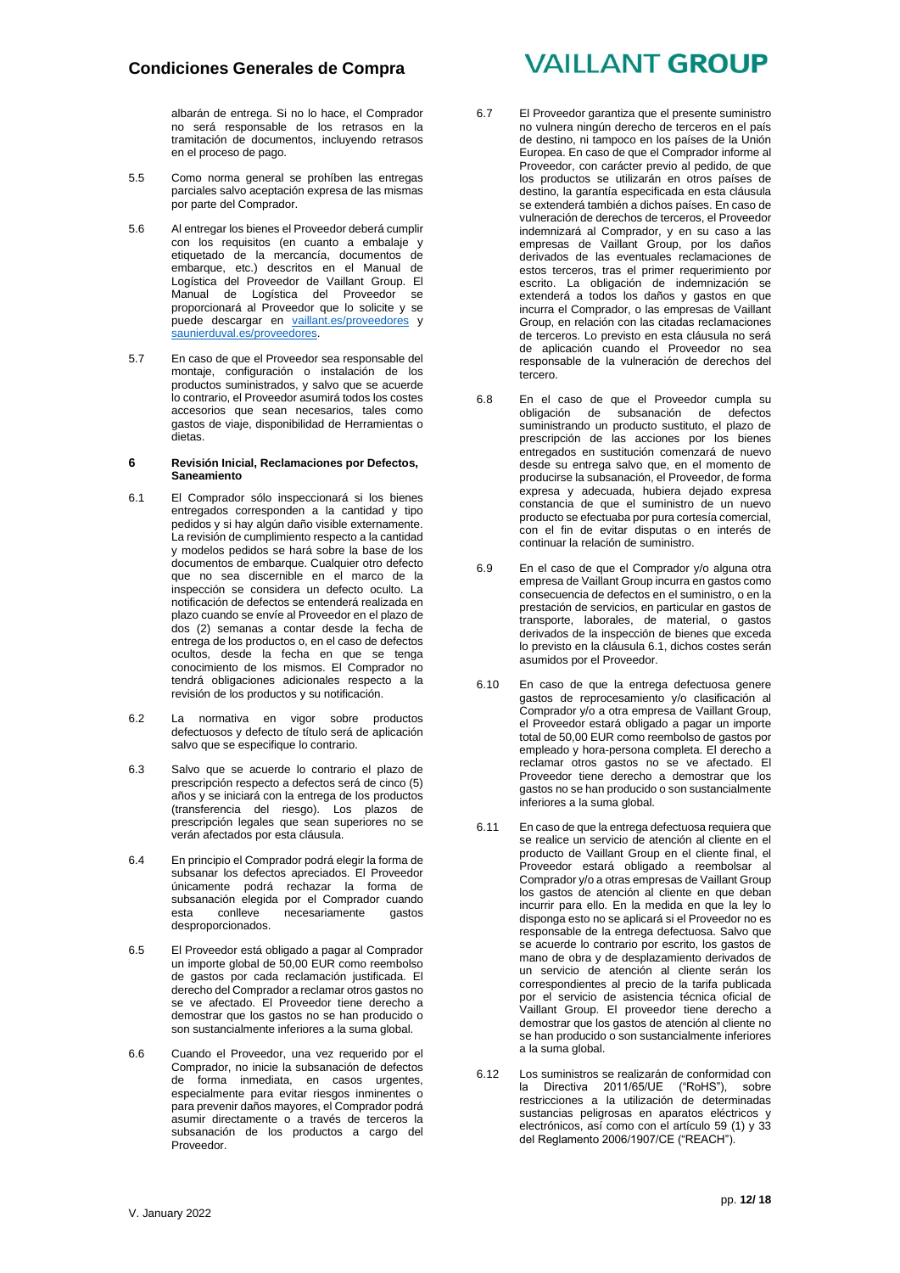albarán de entrega. Si no lo hace, el Comprador no será responsable de los retrasos en la tramitación de documentos, incluyendo retrasos en el proceso de pago.

- 5.5 Como norma general se prohíben las entregas parciales salvo aceptación expresa de las mismas por parte del Comprador.
- 5.6 Al entregar los bienes el Proveedor deberá cumplir con los requisitos (en cuanto a embalaje y etiquetado de la mercancía, documentos de embarque, etc.) descritos en el Manual de Logística del Proveedor de Vaillant Group. El Manual de Logística del Proveedor se proporcionará al Proveedor que lo solicite y se puede descargar en [vaillant.es/p](http://vaillant.es/)roveedores y saunierduval.es/proveedores.
- 5.7 En caso de que el Proveedor sea responsable del montaje, configuración o instalación de los productos suministrados, y salvo que se acuerde lo contrario, el Proveedor asumirá todos los costes accesorios que sean necesarios, tales como gastos de viaje, disponibilidad de Herramientas o dietas.

#### **6 Revisión Inicial, Reclamaciones por Defectos, Saneamiento**

- 6.1 El Comprador sólo inspeccionará si los bienes entregados corresponden a la cantidad y tipo pedidos y si hay algún daño visible externamente. La revisión de cumplimiento respecto a la cantidad y modelos pedidos se hará sobre la base de los documentos de embarque. Cualquier otro defecto que no sea discernible en el marco de la inspección se considera un defecto oculto. La notificación de defectos se entenderá realizada en plazo cuando se envíe al Proveedor en el plazo de dos (2) semanas a contar desde la fecha de entrega de los productos o, en el caso de defectos ocultos, desde la fecha en que se tenga conocimiento de los mismos. El Comprador no tendrá obligaciones adicionales respecto a la revisión de los productos y su notificación.
- 6.2 La normativa en vigor sobre productos defectuosos y defecto de título será de aplicación salvo que se especifique lo contrario.
- 6.3 Salvo que se acuerde lo contrario el plazo de prescripción respecto a defectos será de cinco (5) años y se iniciará con la entrega de los productos (transferencia del riesgo). Los plazos de prescripción legales que sean superiores no se verán afectados por esta cláusula.
- 6.4 En principio el Comprador podrá elegir la forma de subsanar los defectos apreciados. El Proveedor únicamente podrá rechazar la forma de subsanación elegida por el Comprador cuando esta conlleve necesariamente gastos desproporcionados.
- 6.5 El Proveedor está obligado a pagar al Comprador un importe global de 50,00 EUR como reembolso de gastos por cada reclamación justificada. El derecho del Comprador a reclamar otros gastos no se ve afectado. El Proveedor tiene derecho a demostrar que los gastos no se han producido o son sustancialmente inferiores a la suma global.
- 6.6 Cuando el Proveedor, una vez requerido por el Comprador, no inicie la subsanación de defectos de forma inmediata, en casos urgentes, especialmente para evitar riesgos inminentes o para prevenir daños mayores, el Comprador podrá asumir directamente o a través de terceros la subsanación de los productos a cargo del Proveedor.

# **VAILLANT GROUP**

- 6.7 El Proveedor garantiza que el presente suministro no vulnera ningún derecho de terceros en el país de destino, ni tampoco en los países de la Unión Europea. En caso de que el Comprador informe al Proveedor, con carácter previo al pedido, de que los productos se utilizarán en otros países de destino, la garantía especificada en esta cláusula se extenderá también a dichos países. En caso de vulneración de derechos de terceros, el Proveedor indemnizará al Comprador, y en su caso a las empresas de Vaillant Group, por los daños derivados de las eventuales reclamaciones de estos terceros, tras el primer requerimiento por escrito. La obligación de indemnización se extenderá a todos los daños y gastos en que incurra el Comprador, o las empresas de Vaillant Group, en relación con las citadas reclamaciones de terceros. Lo previsto en esta cláusula no será de aplicación cuando el Proveedor no sea responsable de la vulneración de derechos del tercero.
- 6.8 En el caso de que el Proveedor cumpla su obligación de subsanación de defectos suministrando un producto sustituto, el plazo de prescripción de las acciones por los bienes entregados en sustitución comenzará de nuevo desde su entrega salvo que, en el momento de producirse la subsanación, el Proveedor, de forma expresa y adecuada, hubiera dejado expresa constancia de que el suministro de un nuevo producto se efectuaba por pura cortesía comercial, con el fin de evitar disputas o en interés de continuar la relación de suministro.
- 6.9 En el caso de que el Comprador y/o alguna otra empresa de Vaillant Group incurra en gastos como consecuencia de defectos en el suministro, o en la prestación de servicios, en particular en gastos de transporte, laborales, de material, o gastos derivados de la inspección de bienes que exceda lo previsto en la cláusula 6.1, dichos costes serán asumidos por el Proveedor.
- 6.10 En caso de que la entrega defectuosa genere gastos de reprocesamiento y/o clasificación al Comprador y/o a otra empresa de Vaillant Group, el Proveedor estará obligado a pagar un importe total de 50,00 EUR como reembolso de gastos por empleado y hora-persona completa. El derecho a reclamar otros gastos no se ve afectado. El Proveedor tiene derecho a demostrar que los gastos no se han producido o son sustancialmente inferiores a la suma global.
- 6.11 En caso de que la entrega defectuosa requiera que se realice un servicio de atención al cliente en el producto de Vaillant Group en el cliente final, el Proveedor estará obligado a reembolsar al Comprador y/o a otras empresas de Vaillant Group los gastos de atención al cliente en que deban incurrir para ello. En la medida en que la ley lo disponga esto no se aplicará si el Proveedor no es responsable de la entrega defectuosa. Salvo que se acuerde lo contrario por escrito, los gastos de mano de obra y de desplazamiento derivados de un servicio de atención al cliente serán los correspondientes al precio de la tarifa publicada por el servicio de asistencia técnica oficial de Vaillant Group. El proveedor tiene derecho a demostrar que los gastos de atención al cliente no se han producido o son sustancialmente inferiores a la suma global.
- 6.12 Los suministros se realizarán de conformidad con la Directiva 2011/65/UE ("RoHS"), sobre restricciones a la utilización de determinadas sustancias peligrosas en aparatos eléctricos y electrónicos, así como con el artículo 59 (1) y 33 del Reglamento 2006/1907/CE ("REACH").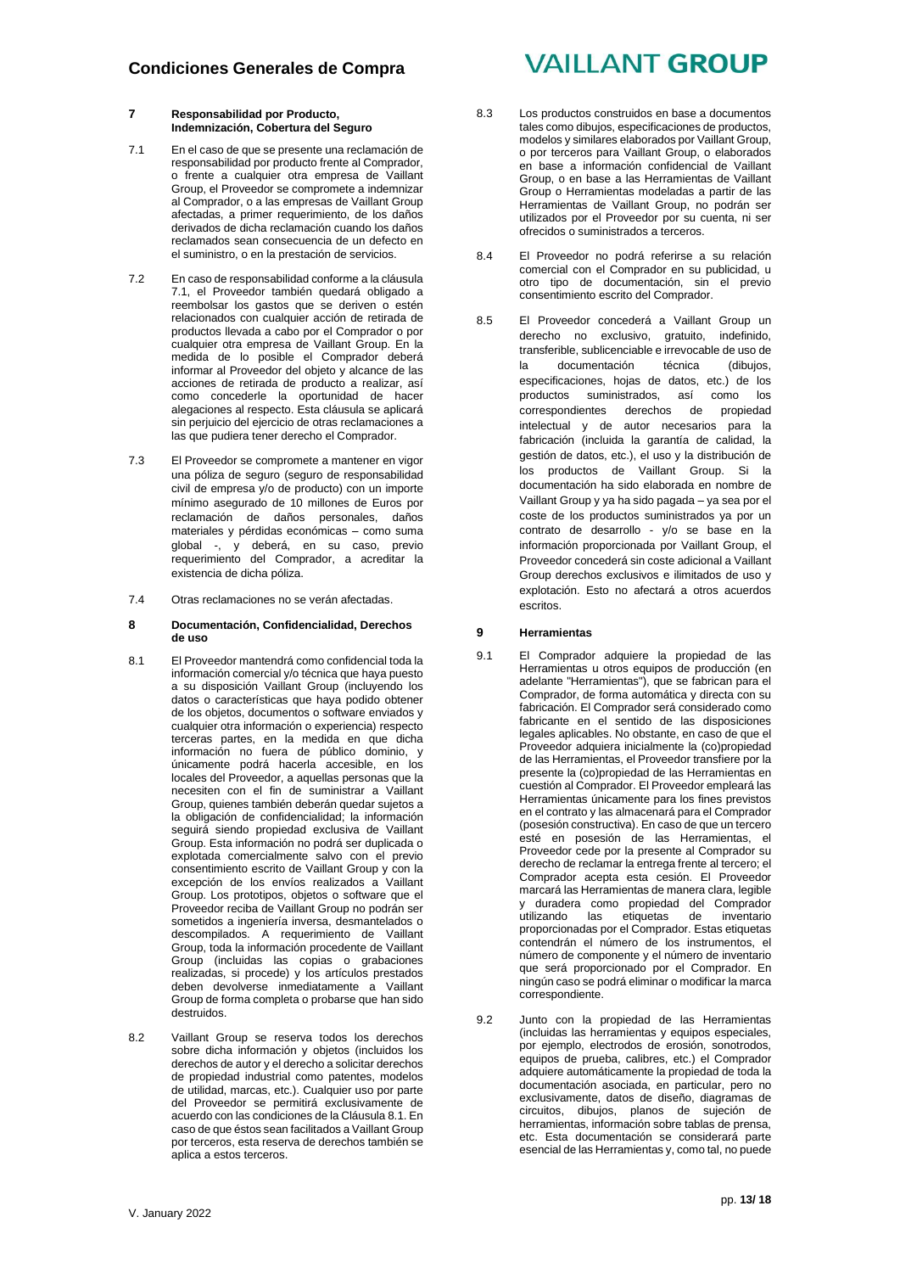### **7 Responsabilidad por Producto, Indemnización, Cobertura del Seguro**

- 7.1 En el caso de que se presente una reclamación de responsabilidad por producto frente al Comprador, o frente a cualquier otra empresa de Vaillant Group, el Proveedor se compromete a indemnizar al Comprador, o a las empresas de Vaillant Group afectadas, a primer requerimiento, de los daños derivados de dicha reclamación cuando los daños reclamados sean consecuencia de un defecto en el suministro, o en la prestación de servicios.
- 7.2 En caso de responsabilidad conforme a la cláusula 7.1, el Proveedor también quedará obligado a reembolsar los gastos que se deriven o estén relacionados con cualquier acción de retirada de productos llevada a cabo por el Comprador o por cualquier otra empresa de Vaillant Group. En la medida de lo posible el Comprador deberá informar al Proveedor del objeto y alcance de las acciones de retirada de producto a realizar, así como concederle la oportunidad de hacer alegaciones al respecto. Esta cláusula se aplicará sin perjuicio del ejercicio de otras reclamaciones a las que pudiera tener derecho el Comprador.
- 7.3 El Proveedor se compromete a mantener en vigor una póliza de seguro (seguro de responsabilidad civil de empresa y/o de producto) con un importe mínimo asegurado de 10 millones de Euros por reclamación de daños personales, daños materiales y pérdidas económicas – como suma global -, y deberá, en su caso, previo requerimiento del Comprador, a acreditar la existencia de dicha póliza.
- 7.4 Otras reclamaciones no se verán afectadas.

#### **8 Documentación, Confidencialidad, Derechos de uso**

- 8.1 El Proveedor mantendrá como confidencial toda la información comercial y/o técnica que haya puesto a su disposición Vaillant Group (incluyendo los datos o características que haya podido obtener de los objetos, documentos o software enviados y cualquier otra información o experiencia) respecto terceras partes, en la medida en que dicha información no fuera de público dominio, y únicamente podrá hacerla accesible, en los locales del Proveedor, a aquellas personas que la necesiten con el fin de suministrar a Vaillant Group, quienes también deberán quedar sujetos a la obligación de confidencialidad; la información seguirá siendo propiedad exclusiva de Vaillant Group. Esta información no podrá ser duplicada o explotada comercialmente salvo con el previo consentimiento escrito de Vaillant Group y con la excepción de los envíos realizados a Vaillant Group. Los prototipos, objetos o software que el Proveedor reciba de Vaillant Group no podrán ser sometidos a ingeniería inversa, desmantelados o descompilados. A requerimiento de Vaillant Group, toda la información procedente de Vaillant Group (incluidas las copias o grabaciones realizadas, si procede) y los artículos prestados deben devolverse inmediatamente a Vaillant Group de forma completa o probarse que han sido destruidos.
- 8.2 Vaillant Group se reserva todos los derechos sobre dicha información y objetos (incluidos los derechos de autor y el derecho a solicitar derechos de propiedad industrial como patentes, modelos de utilidad, marcas, etc.). Cualquier uso por parte del Proveedor se permitirá exclusivamente de acuerdo con las condiciones de la Cláusula 8.1. En caso de que éstos sean facilitados a Vaillant Group por terceros, esta reserva de derechos también se aplica a estos terceros.

# **VAILLANT GROUP**

- 8.3 Los productos construidos en base a documentos tales como dibujos, especificaciones de productos, modelos y similares elaborados por Vaillant Group, o por terceros para Vaillant Group, o elaborados en base a información confidencial de Vaillant Group, o en base a las Herramientas de Vaillant Group o Herramientas modeladas a partir de las Herramientas de Vaillant Group, no podrán ser utilizados por el Proveedor por su cuenta, ni ser ofrecidos o suministrados a terceros.
- 8.4 El Proveedor no podrá referirse a su relación comercial con el Comprador en su publicidad, u otro tipo de documentación, sin el previo consentimiento escrito del Comprador.
- 8.5 El Proveedor concederá a Vaillant Group un derecho no exclusivo, gratuito, indefinido, transferible, sublicenciable e irrevocable de uso de la documentación técnica (dibujos, especificaciones, hojas de datos, etc.) de los productos suministrados, así como los correspondientes derechos de propiedad intelectual y de autor necesarios para la fabricación (incluida la garantía de calidad, la gestión de datos, etc.), el uso y la distribución de los productos de Vaillant Group. Si la documentación ha sido elaborada en nombre de Vaillant Group y ya ha sido pagada – ya sea por el coste de los productos suministrados ya por un contrato de desarrollo - y/o se base en la información proporcionada por Vaillant Group, el Proveedor concederá sin coste adicional a Vaillant Group derechos exclusivos e ilimitados de uso y explotación. Esto no afectará a otros acuerdos escritos.

### **9 Herramientas**

- 9.1 El Comprador adquiere la propiedad de las Herramientas u otros equipos de producción (en adelante "Herramientas"), que se fabrican para el Comprador, de forma automática y directa con su fabricación. El Comprador será considerado como fabricante en el sentido de las disposiciones legales aplicables. No obstante, en caso de que el Proveedor adquiera inicialmente la (co)propiedad de las Herramientas, el Proveedor transfiere por la presente la (co)propiedad de las Herramientas en cuestión al Comprador. El Proveedor empleará las Herramientas únicamente para los fines previstos en el contrato y las almacenará para el Comprador (posesión constructiva). En caso de que un tercero esté en posesión de las Herramientas, el Proveedor cede por la presente al Comprador su derecho de reclamar la entrega frente al tercero; el Comprador acepta esta cesión. El Proveedor marcará las Herramientas de manera clara, legible y duradera como propiedad del Comprador las etiquetas de proporcionadas por el Comprador. Estas etiquetas contendrán el número de los instrumentos, el número de componente y el número de inventario que será proporcionado por el Comprador. En ningún caso se podrá eliminar o modificar la marca correspondiente.
- 9.2 Junto con la propiedad de las Herramientas (incluidas las herramientas y equipos especiales, por ejemplo, electrodos de erosión, sonotrodos, equipos de prueba, calibres, etc.) el Comprador adquiere automáticamente la propiedad de toda la documentación asociada, en particular, pero no exclusivamente, datos de diseño, diagramas de circuitos, dibujos, planos de sujeción de herramientas, información sobre tablas de prensa, etc. Esta documentación se considerará parte esencial de las Herramientas y, como tal, no puede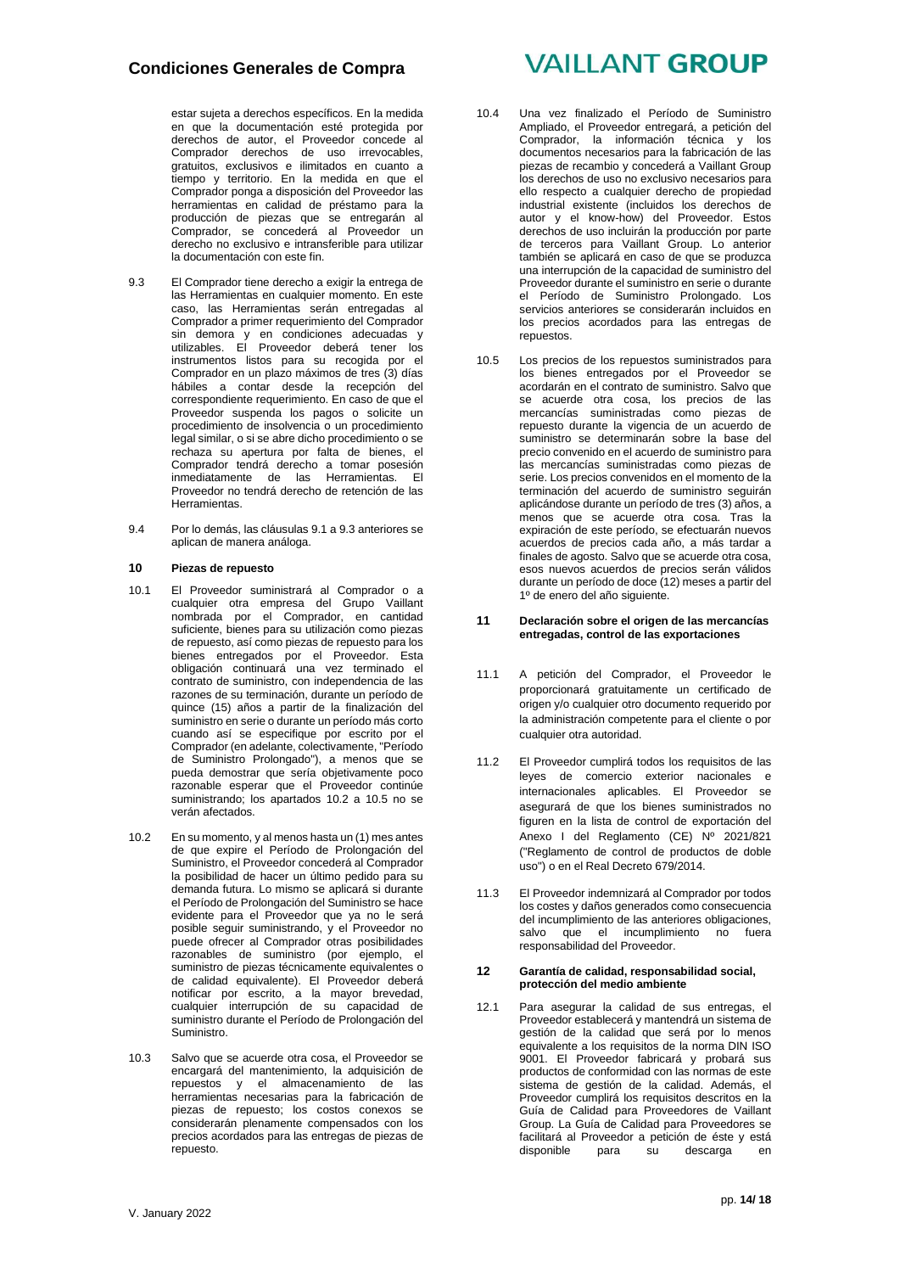## **Condiciones Generales de Compra**

estar sujeta a derechos específicos. En la medida en que la documentación esté protegida por derechos de autor, el Proveedor concede al Comprador derechos de uso irrevocables, gratuitos, exclusivos e ilimitados en cuanto a tiempo y territorio. En la medida en que el Comprador ponga a disposición del Proveedor las herramientas en calidad de préstamo para la producción de piezas que se entregarán al Comprador, se concederá al Proveedor un derecho no exclusivo e intransferible para utilizar la documentación con este fin.

- 9.3 El Comprador tiene derecho a exigir la entrega de las Herramientas en cualquier momento. En este caso, las Herramientas serán entregadas al Comprador a primer requerimiento del Comprador sin demora y en condiciones adecuadas y utilizables. El Proveedor deberá tener los instrumentos listos para su recogida por el Comprador en un plazo máximos de tres (3) días hábiles a contar desde la recepción del correspondiente requerimiento. En caso de que el Proveedor suspenda los pagos o solicite un procedimiento de insolvencia o un procedimiento legal similar, o si se abre dicho procedimiento o se rechaza su apertura por falta de bienes, el Comprador tendrá derecho a tomar posesión inmediatamente de las Herramientas. El Proveedor no tendrá derecho de retención de las Herramientas.
- 9.4 Por lo demás, las cláusulas 9.1 a 9.3 anteriores se aplican de manera análoga.

#### **10 Piezas de repuesto**

- 10.1 El Proveedor suministrará al Comprador o a cualquier otra empresa del Grupo Vaillant nombrada por el Comprador, en cantidad suficiente, bienes para su utilización como piezas de repuesto, así como piezas de repuesto para los bienes entregados por el Proveedor. Esta obligación continuará una vez terminado el contrato de suministro, con independencia de las razones de su terminación, durante un período de quince (15) años a partir de la finalización del suministro en serie o durante un período más corto cuando así se especifique por escrito por el Comprador (en adelante, colectivamente, "Período de Suministro Prolongado"), a menos que se pueda demostrar que sería objetivamente poco razonable esperar que el Proveedor continúe suministrando; los apartados 10.2 a 10.5 no se verán afectados.
- 10.2 En su momento, y al menos hasta un (1) mes antes de que expire el Período de Prolongación del Suministro, el Proveedor concederá al Comprador la posibilidad de hacer un último pedido para su demanda futura. Lo mismo se aplicará si durante el Período de Prolongación del Suministro se hace evidente para el Proveedor que ya no le será posible seguir suministrando, y el Proveedor no puede ofrecer al Comprador otras posibilidades razonables de suministro (por ejemplo, el suministro de piezas técnicamente equivalentes o de calidad equivalente). El Proveedor deberá notificar por escrito, a la mayor brevedad, cualquier interrupción de su capacidad de suministro durante el Período de Prolongación del Suministro.
- 10.3 Salvo que se acuerde otra cosa, el Proveedor se encargará del mantenimiento, la adquisición de repuestos y el almacenamiento de las herramientas necesarias para la fabricación de piezas de repuesto; los costos conexos se considerarán plenamente compensados con los precios acordados para las entregas de piezas de repuesto.

# **VAILLANT GROUP**

- 10.4 Una vez finalizado el Período de Suministro Ampliado, el Proveedor entregará, a petición del Comprador, la información técnica y los documentos necesarios para la fabricación de las piezas de recambio y concederá a Vaillant Group los derechos de uso no exclusivo necesarios para ello respecto a cualquier derecho de propiedad industrial existente (incluidos los derechos de autor y el know-how) del Proveedor. Estos derechos de uso incluirán la producción por parte de terceros para Vaillant Group. Lo anterior también se aplicará en caso de que se produzca una interrupción de la capacidad de suministro del Proveedor durante el suministro en serie o durante el Período de Suministro Prolongado. Los servicios anteriores se considerarán incluidos en los precios acordados para las entregas de repuestos.
- 10.5 Los precios de los repuestos suministrados para los bienes entregados por el Proveedor se acordarán en el contrato de suministro. Salvo que se acuerde otra cosa, los precios de las mercancías suministradas como piezas de repuesto durante la vigencia de un acuerdo de suministro se determinarán sobre la base del precio convenido en el acuerdo de suministro para las mercancías suministradas como piezas de serie. Los precios convenidos en el momento de la terminación del acuerdo de suministro seguirán aplicándose durante un período de tres (3) años, a menos que se acuerde otra cosa. Tras la expiración de este período, se efectuarán nuevos acuerdos de precios cada año, a más tardar a finales de agosto. Salvo que se acuerde otra cosa, esos nuevos acuerdos de precios serán válidos durante un período de doce (12) meses a partir del 1º de enero del año siguiente.

#### **11 Declaración sobre el origen de las mercancías entregadas, control de las exportaciones**

- 11.1 A petición del Comprador, el Proveedor le proporcionará gratuitamente un certificado de origen y/o cualquier otro documento requerido por la administración competente para el cliente o por cualquier otra autoridad.
- 11.2 El Proveedor cumplirá todos los requisitos de las leyes de comercio exterior nacionales e internacionales aplicables. El Proveedor se asegurará de que los bienes suministrados no figuren en la lista de control de exportación del Anexo I del Reglamento (CE) Nº 2021/821 ("Reglamento de control de productos de doble uso") o en el Real Decreto 679/2014.
- 11.3 El Proveedor indemnizará al Comprador por todos los costes y daños generados como consecuencia del incumplimiento de las anteriores obligaciones, salvo que el incumplimiento no fuera responsabilidad del Proveedor.

#### **12 Garantía de calidad, responsabilidad social, protección del medio ambiente**

12.1 Para asegurar la calidad de sus entregas, el Proveedor establecerá y mantendrá un sistema de gestión de la calidad que será por lo menos equivalente a los requisitos de la norma DIN ISO 9001. El Proveedor fabricará y probará sus productos de conformidad con las normas de este sistema de gestión de la calidad. Además, el Proveedor cumplirá los requisitos descritos en la Guía de Calidad para Proveedores de Vaillant Group. La Guía de Calidad para Proveedores se facilitará al Proveedor a petición de éste y está<br>disponible para su descarga en descarga en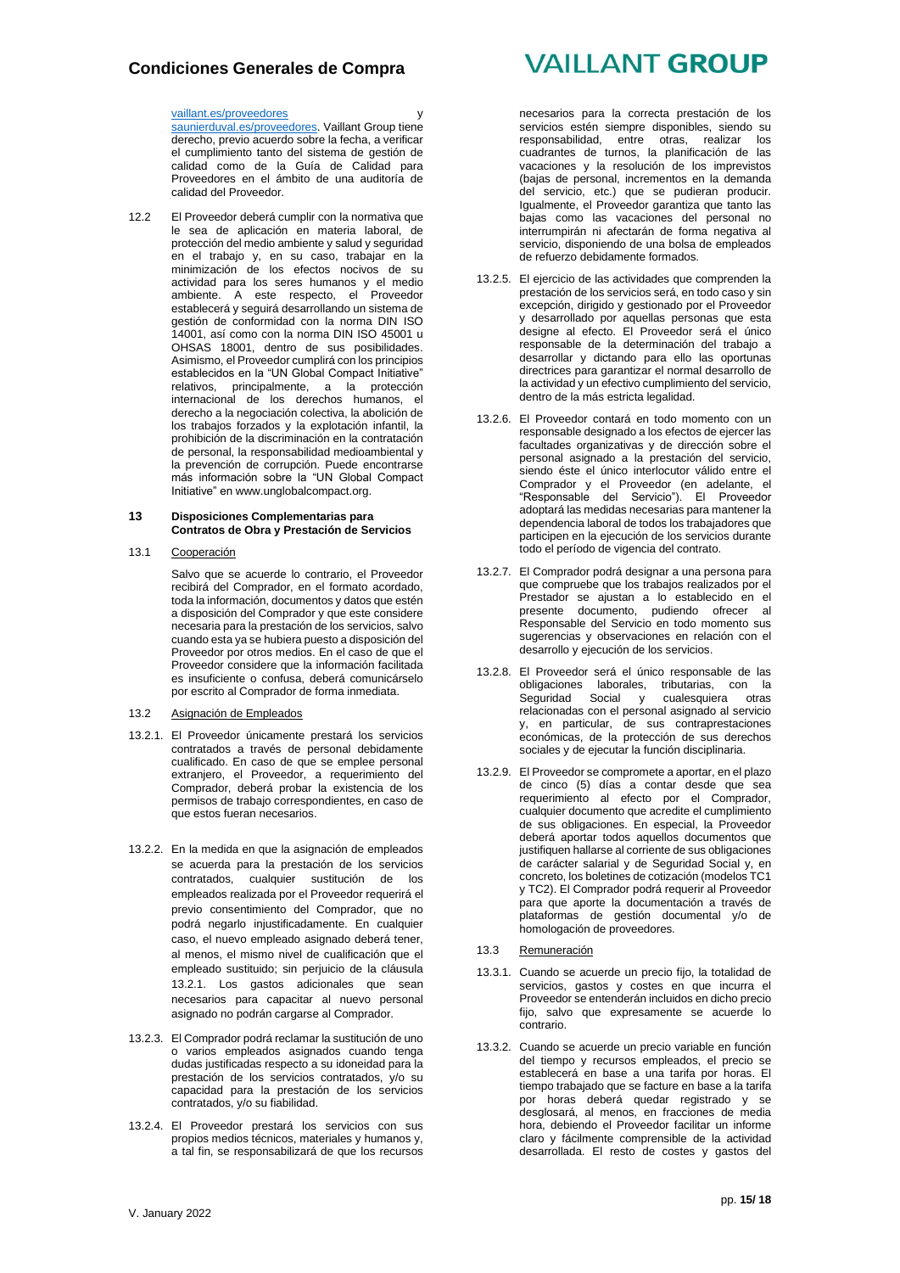## **Condiciones Generales de Compra**

### [vaillant.es/p](http://vaillant.es/)roveedores y

saunierduval.es/proveedores. Vaillant Group tiene derecho, previo acuerdo sobre la fecha, a verificar el cumplimiento tanto del sistema de gestión de calidad como de la Guía de Calidad para Proveedores en el ámbito de una auditoría de calidad del Proveedor.

12.2 El Proveedor deberá cumplir con la normativa que le sea de aplicación en materia laboral, de protección del medio ambiente y salud y seguridad en el trabajo y, en su caso, trabajar en la minimización de los efectos nocivos de su actividad para los seres humanos y el medio ambiente. A este respecto, el Proveedor establecerá y seguirá desarrollando un sistema de gestión de conformidad con la norma DIN ISO 14001, así como con la norma DIN ISO 45001 u OHSAS 18001, dentro de sus posibilidades. Asimismo, el Proveedor cumplirá con los principios establecidos en la "UN Global Compact Initiative" relativos, principalmente, a la protección internacional de los derechos humanos, el derecho a la negociación colectiva, la abolición de los trabajos forzados y la explotación infantil, la prohibición de la discriminación en la contratación de personal, la responsabilidad medioambiental y la prevención de corrupción. Puede encontrarse más información sobre la "UN Global Compact Initiative" en [www.unglobalcompact.org.](http://www.unglobalcompact.org/)

#### **13 Disposiciones Complementarias para Contratos de Obra y Prestación de Servicios**

13.1 Cooperación

Salvo que se acuerde lo contrario, el Proveedor recibirá del Comprador, en el formato acordado, toda la información, documentos y datos que estén a disposición del Comprador y que este considere necesaria para la prestación de los servicios, salvo cuando esta ya se hubiera puesto a disposición del Proveedor por otros medios. En el caso de que el Proveedor considere que la información facilitada es insuficiente o confusa, deberá comunicárselo por escrito al Comprador de forma inmediata.

- 13.2 Asignación de Empleados
- 13.2.1. El Proveedor únicamente prestará los servicios contratados a través de personal debidamente cualificado. En caso de que se emplee personal extranjero, el Proveedor, a requerimiento del Comprador, deberá probar la existencia de los permisos de trabajo correspondientes, en caso de que estos fueran necesarios.
- 13.2.2. En la medida en que la asignación de empleados se acuerda para la prestación de los servicios contratados, cualquier sustitución de los empleados realizada por el Proveedor requerirá el previo consentimiento del Comprador, que no podrá negarlo injustificadamente. En cualquier caso, el nuevo empleado asignado deberá tener, al menos, el mismo nivel de cualificación que el empleado sustituido; sin perjuicio de la cláusula 13.2.1. Los gastos adicionales que sean necesarios para capacitar al nuevo personal asignado no podrán cargarse al Comprador.
- 13.2.3. El Comprador podrá reclamar la sustitución de uno o varios empleados asignados cuando tenga dudas justificadas respecto a su idoneidad para la prestación de los servicios contratados, y/o su capacidad para la prestación de los servicios contratados, y/o su fiabilidad.
- 13.2.4. El Proveedor prestará los servicios con sus propios medios técnicos, materiales y humanos y, a tal fin, se responsabilizará de que los recursos

# **VAILLANT GROUP**

necesarios para la correcta prestación de los servicios estén siempre disponibles, siendo su responsabilidad, entre otras, realizar los cuadrantes de turnos, la planificación de las vacaciones y la resolución de los imprevistos (bajas de personal, incrementos en la demanda del servicio, etc.) que se pudieran producir. Igualmente, el Proveedor garantiza que tanto las bajas como las vacaciones del personal no interrumpirán ni afectarán de forma negativa al servicio, disponiendo de una bolsa de empleados de refuerzo debidamente formados.

- 13.2.5. El ejercicio de las actividades que comprenden la prestación de los servicios será, en todo caso y sin excepción, dirigido y gestionado por el Proveedor y desarrollado por aquellas personas que esta designe al efecto. El Proveedor será el único responsable de la determinación del trabajo a desarrollar y dictando para ello las oportunas directrices para garantizar el normal desarrollo de la actividad y un efectivo cumplimiento del servicio, dentro de la más estricta legalidad.
- 13.2.6. El Proveedor contará en todo momento con un responsable designado a los efectos de ejercer las facultades organizativas y de dirección sobre el personal asignado a la prestación del servicio, siendo éste el único interlocutor válido entre el Comprador y el Proveedor (en adelante, el "Responsable del Servicio"). El Proveedor adoptará las medidas necesarias para mantener la dependencia laboral de todos los trabajadores que participen en la ejecución de los servicios durante todo el período de vigencia del contrato.
- 13.2.7. El Comprador podrá designar a una persona para que compruebe que los trabajos realizados por el Prestador se ajustan a lo establecido en el presente documento, pudiendo ofrecer al Responsable del Servicio en todo momento sus sugerencias y observaciones en relación con el desarrollo y ejecución de los servicios.
- 13.2.8. El Proveedor será el único responsable de las obligaciones laborales, tributarias, con la Seguridad Social y cualesquiera otras relacionadas con el personal asignado al servicio y, en particular, de sus contraprestaciones económicas, de la protección de sus derechos sociales y de ejecutar la función disciplinaria.
- 13.2.9. El Proveedor se compromete a aportar, en el plazo de cinco (5) días a contar desde que sea requerimiento al efecto por el Comprador, cualquier documento que acredite el cumplimiento de sus obligaciones. En especial, la Proveedor deberá aportar todos aquellos documentos que justifiquen hallarse al corriente de sus obligaciones de carácter salarial y de Seguridad Social y, en concreto, los boletines de cotización (modelos TC1 y TC2). El Comprador podrá requerir al Proveedor para que aporte la documentación a través de plataformas de gestión documental y/o de homologación de proveedores.
- 13.3 Remuneración
- 13.3.1. Cuando se acuerde un precio fijo, la totalidad de servicios, gastos y costes en que incurra el Proveedor se entenderán incluidos en dicho precio fijo, salvo que expresamente se acuerde lo contrario.
- 13.3.2. Cuando se acuerde un precio variable en función del tiempo y recursos empleados, el precio se establecerá en base a una tarifa por horas. El tiempo trabajado que se facture en base a la tarifa por horas deberá quedar registrado y se desglosará, al menos, en fracciones de media hora, debiendo el Proveedor facilitar un informe claro y fácilmente comprensible de la actividad desarrollada. El resto de costes y gastos del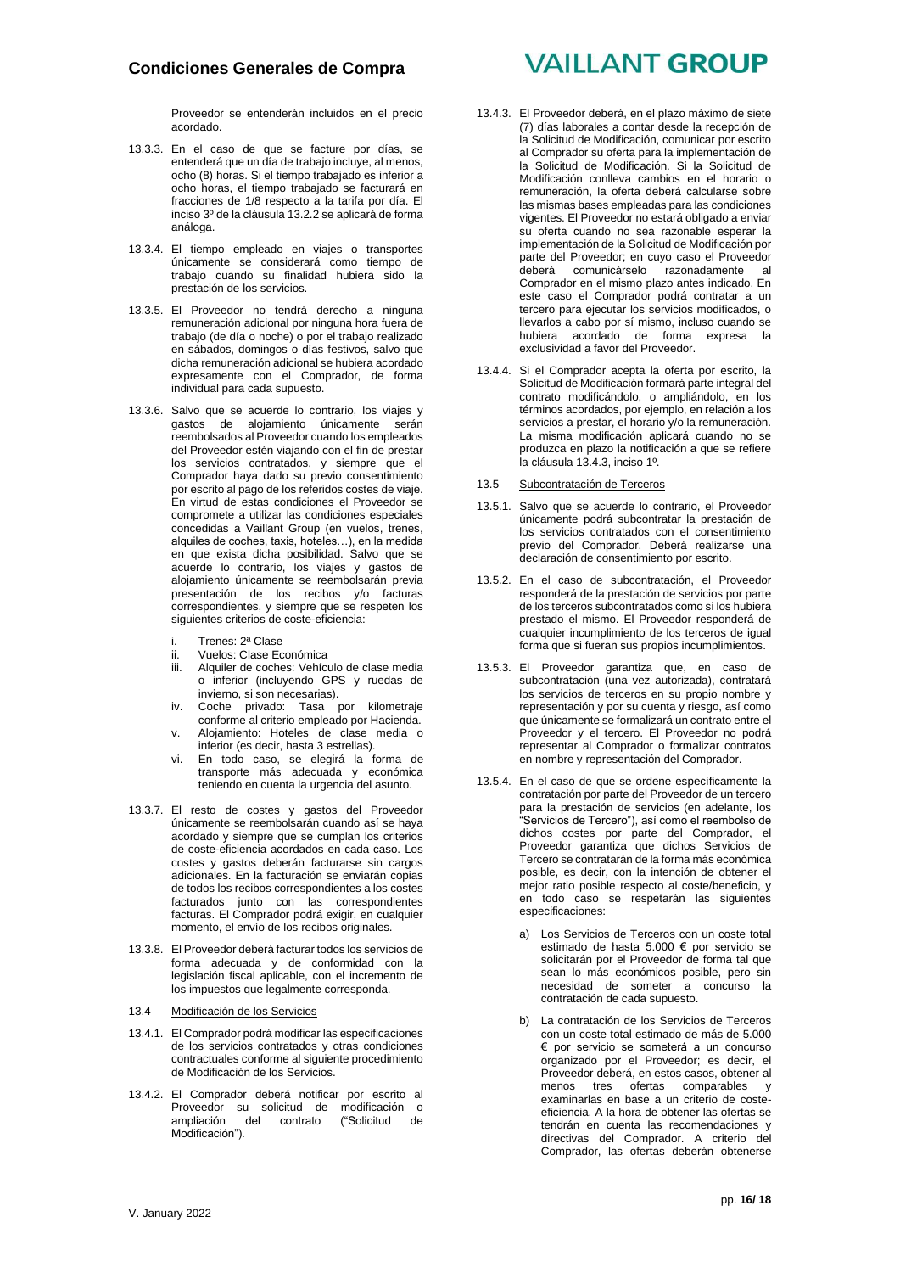Proveedor se entenderán incluidos en el precio acordado.

- 13.3.3. En el caso de que se facture por días, se entenderá que un día de trabajo incluye, al menos, ocho (8) horas. Si el tiempo trabajado es inferior a ocho horas, el tiempo trabajado se facturará en fracciones de 1/8 respecto a la tarifa por día. El inciso 3º de la cláusula 13.2.2 se aplicará de forma análoga.
- 13.3.4. El tiempo empleado en viajes o transportes únicamente se considerará como tiempo de trabajo cuando su finalidad hubiera sido la prestación de los servicios.
- 13.3.5. El Proveedor no tendrá derecho a ninguna remuneración adicional por ninguna hora fuera de trabajo (de día o noche) o por el trabajo realizado en sábados, domingos o días festivos, salvo que dicha remuneración adicional se hubiera acordado expresamente con el Comprador, de forma individual para cada supuesto.
- 13.3.6. Salvo que se acuerde lo contrario, los viajes y gastos de alojamiento únicamente serán reembolsados al Proveedor cuando los empleados del Proveedor estén viajando con el fin de prestar los servicios contratados, y siempre que el Comprador haya dado su previo consentimiento por escrito al pago de los referidos costes de viaje. En virtud de estas condiciones el Proveedor se compromete a utilizar las condiciones especiales concedidas a Vaillant Group (en vuelos, trenes, alquiles de coches, taxis, hoteles…), en la medida en que exista dicha posibilidad. Salvo que se acuerde lo contrario, los viajes y gastos de alojamiento únicamente se reembolsarán previa presentación de los recibos y/o facturas correspondientes, y siempre que se respeten los siguientes criterios de coste-eficiencia:
	- i. Trenes: 2ª Clase<br>ii. Vuelos: Clase Ec
	- Vuelos: Clase Económica
	- iii. Alquiler de coches: Vehículo de clase media o inferior (incluyendo GPS y ruedas de invierno, si son necesarias).
	- iv. Coche privado: Tasa por kilometraje conforme al criterio empleado por Hacienda. v. Alojamiento: Hoteles de clase media o
	- inferior (es decir, hasta 3 estrellas).
	- vi. En todo caso, se elegirá la forma de transporte más adecuada y económica teniendo en cuenta la urgencia del asunto.
- 13.3.7. El resto de costes y gastos del Proveedor únicamente se reembolsarán cuando así se haya acordado y siempre que se cumplan los criterios de coste-eficiencia acordados en cada caso. Los costes y gastos deberán facturarse sin cargos adicionales. En la facturación se enviarán copias de todos los recibos correspondientes a los costes facturados junto con las correspondientes facturas. El Comprador podrá exigir, en cualquier momento, el envío de los recibos originales.
- 13.3.8. El Proveedor deberá facturar todos los servicios de forma adecuada y de conformidad con la legislación fiscal aplicable, con el incremento de los impuestos que legalmente corresponda.

#### 13.4 Modificación de los Servicios

- 13.4.1. El Comprador podrá modificar las especificaciones de los servicios contratados y otras condiciones contractuales conforme al siguiente procedimiento de Modificación de los Servicios.
- 13.4.2. El Comprador deberá notificar por escrito al Proveedor su solicitud de modificación o<br>ampliación del contrato ("Solicitud de del contrato ("Solicitud Modificación").

# **VAILLANT GROUP**

- 13.4.3. El Proveedor deberá, en el plazo máximo de siete (7) días laborales a contar desde la recepción de la Solicitud de Modificación, comunicar por escrito al Comprador su oferta para la implementación de la Solicitud de Modificación. Si la Solicitud de Modificación conlleva cambios en el horario o remuneración, la oferta deberá calcularse sobre las mismas bases empleadas para las condiciones vigentes. El Proveedor no estará obligado a enviar su oferta cuando no sea razonable esperar la implementación de la Solicitud de Modificación por parte del Proveedor; en cuyo caso el Proveedor comunicárselo razonadamente al Comprador en el mismo plazo antes indicado. En este caso el Comprador podrá contratar a un tercero para ejecutar los servicios modificados, o llevarlos a cabo por sí mismo, incluso cuando se hubiera acordado de forma expresa la exclusividad a favor del Proveedor.
- 13.4.4. Si el Comprador acepta la oferta por escrito, la Solicitud de Modificación formará parte integral del contrato modificándolo, o ampliándolo, en los términos acordados, por ejemplo, en relación a los servicios a prestar, el horario y/o la remuneración. La misma modificación aplicará cuando no se produzca en plazo la notificación a que se refiere la cláusula 13.4.3, inciso 1º.

#### 13.5 Subcontratación de Terceros

- 13.5.1. Salvo que se acuerde lo contrario, el Proveedor únicamente podrá subcontratar la prestación de los servicios contratados con el consentimiento previo del Comprador. Deberá realizarse una declaración de consentimiento por escrito.
- 13.5.2. En el caso de subcontratación, el Proveedor responderá de la prestación de servicios por parte de los terceros subcontratados como si los hubiera prestado el mismo. El Proveedor responderá de cualquier incumplimiento de los terceros de igual forma que si fueran sus propios incumplimientos.
- 13.5.3. El Proveedor garantiza que, en caso de subcontratación (una vez autorizada), contratará los servicios de terceros en su propio nombre y representación y por su cuenta y riesgo, así como que únicamente se formalizará un contrato entre el Proveedor y el tercero. El Proveedor no podrá representar al Comprador o formalizar contratos en nombre y representación del Comprador.
- 13.5.4. En el caso de que se ordene específicamente la contratación por parte del Proveedor de un tercero para la prestación de servicios (en adelante, los "Servicios de Tercero"), así como el reembolso de dichos costes por parte del Comprador, el Proveedor garantiza que dichos Servicios de Tercero se contratarán de la forma más económica posible, es decir, con la intención de obtener el mejor ratio posible respecto al coste/beneficio, y en todo caso se respetarán las siguientes especificaciones:
	- a) Los Servicios de Terceros con un coste total estimado de hasta 5.000 € por servicio se solicitarán por el Proveedor de forma tal que sean lo más económicos posible, pero sin necesidad de someter a concurso la contratación de cada supuesto.
	- b) La contratación de los Servicios de Terceros con un coste total estimado de más de 5.000 € por servicio se someterá a un concurso organizado por el Proveedor; es decir, el Proveedor deberá, en estos casos, obtener al<br>menos tres ofertas comparables y tres ofertas comparables y examinarlas en base a un criterio de costeeficiencia. A la hora de obtener las ofertas se tendrán en cuenta las recomendaciones y directivas del Comprador. A criterio del Comprador, las ofertas deberán obtenerse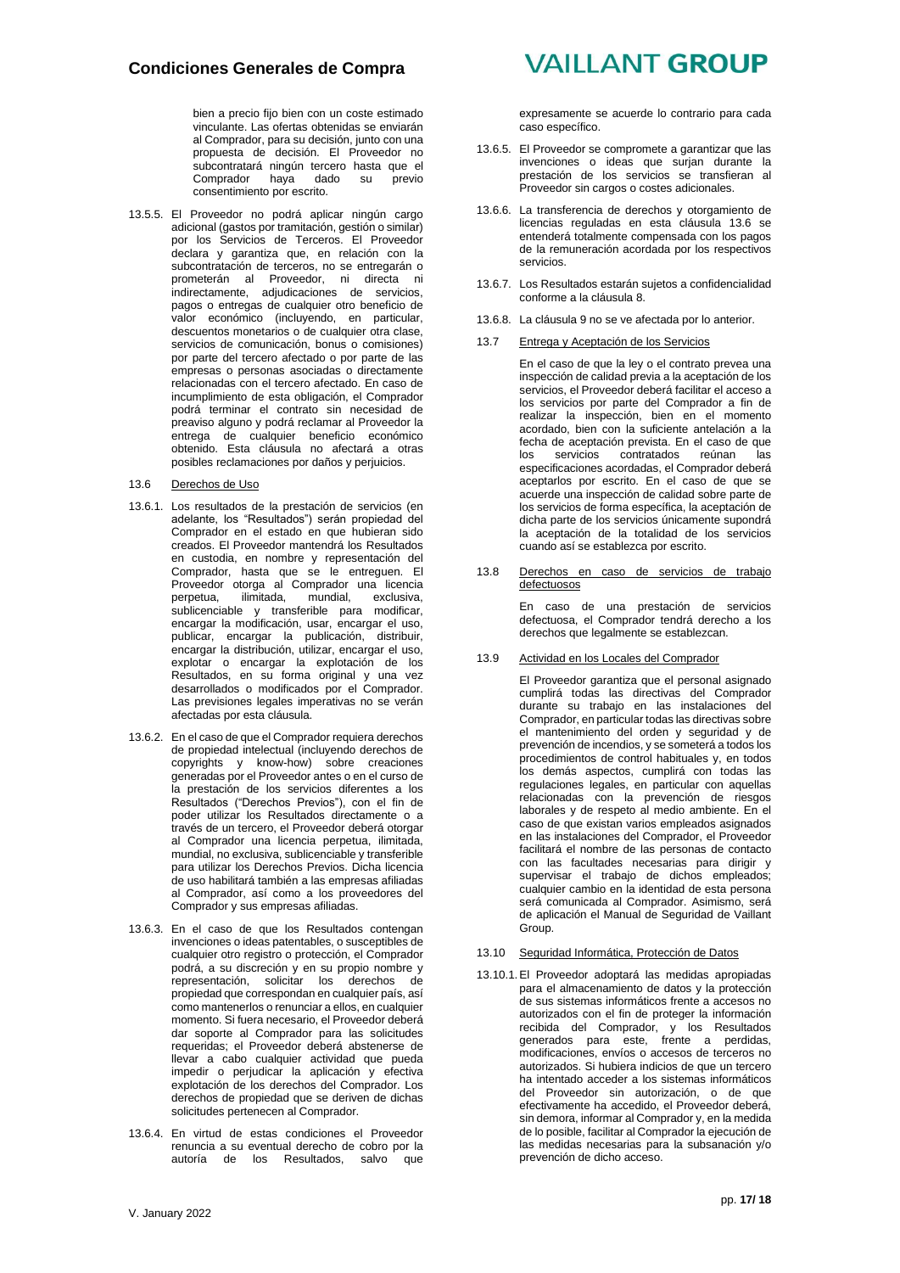bien a precio fijo bien con un coste estimado vinculante. Las ofertas obtenidas se enviarán al Comprador, para su decisión, junto con una propuesta de decisión. El Proveedor no subcontratará ningún tercero hasta que el<br>Comprador hava dado su previo haya dado su previo consentimiento por escrito.

13.5.5. El Proveedor no podrá aplicar ningún cargo adicional (gastos por tramitación, gestión o similar) por los Servicios de Terceros. El Proveedor declara y garantiza que, en relación con la subcontratación de terceros, no se entregarán o prometerán al Proveedor, ni directa ni indirectamente, adjudicaciones de servicios, pagos o entregas de cualquier otro beneficio de valor económico (incluyendo, en particular, descuentos monetarios o de cualquier otra clase, servicios de comunicación, bonus o comisiones) por parte del tercero afectado o por parte de las empresas o personas asociadas o directamente relacionadas con el tercero afectado. En caso de incumplimiento de esta obligación, el Comprador podrá terminar el contrato sin necesidad de preaviso alguno y podrá reclamar al Proveedor la entrega de cualquier beneficio económico obtenido. Esta cláusula no afectará a otras posibles reclamaciones por daños y perjuicios.

#### 13.6 Derechos de Uso

- 13.6.1. Los resultados de la prestación de servicios (en adelante, los "Resultados") serán propiedad del Comprador en el estado en que hubieran sido creados. El Proveedor mantendrá los Resultados en custodia, en nombre y representación del Comprador, hasta que se le entreguen. El Proveedor otorga al Comprador una licencia<br>perpetua, ilimitada, mundial, exclusiva, perpetua, ilimitada, mundial, exclusiva, sublicenciable y transferible para modificar, encargar la modificación, usar, encargar el uso, publicar, encargar la publicación, distribuir, encargar la distribución, utilizar, encargar el uso, explotar o encargar la explotación de los Resultados, en su forma original y una vez desarrollados o modificados por el Comprador. Las previsiones legales imperativas no se verán afectadas por esta cláusula.
- 13.6.2. En el caso de que el Comprador requiera derechos de propiedad intelectual (incluyendo derechos de copyrights y know-how) sobre creaciones generadas por el Proveedor antes o en el curso de la prestación de los servicios diferentes a los Resultados ("Derechos Previos"), con el fin de poder utilizar los Resultados directamente o a través de un tercero, el Proveedor deberá otorgar al Comprador una licencia perpetua, ilimitada, mundial, no exclusiva, sublicenciable y transferible para utilizar los Derechos Previos. Dicha licencia de uso habilitará también a las empresas afiliadas al Comprador, así como a los proveedores del Comprador y sus empresas afiliadas.
- 13.6.3. En el caso de que los Resultados contengan invenciones o ideas patentables, o susceptibles de cualquier otro registro o protección, el Comprador podrá, a su discreción y en su propio nombre y representación, solicitar los derechos de propiedad que correspondan en cualquier país, así como mantenerlos o renunciar a ellos, en cualquier momento. Si fuera necesario, el Proveedor deberá dar soporte al Comprador para las solicitudes requeridas; el Proveedor deberá abstenerse de llevar a cabo cualquier actividad que pueda impedir o perjudicar la aplicación y efectiva explotación de los derechos del Comprador. Los derechos de propiedad que se deriven de dichas solicitudes pertenecen al Comprador.
- 13.6.4. En virtud de estas condiciones el Proveedor renuncia a su eventual derecho de cobro por la autoría de los Resultados, salvo que

## **VAILLANT GROUP**

expresamente se acuerde lo contrario para cada caso específico.

- 13.6.5. El Proveedor se compromete a garantizar que las invenciones o ideas que surjan durante la prestación de los servicios se transfieran al Proveedor sin cargos o costes adicionales.
- 13.6.6. La transferencia de derechos y otorgamiento de licencias reguladas en esta cláusula 13.6 se entenderá totalmente compensada con los pagos de la remuneración acordada por los respectivos servicios.
- 13.6.7. Los Resultados estarán sujetos a confidencialidad conforme a la cláusula 8.
- 13.6.8. La cláusula 9 no se ve afectada por lo anterior.
- 13.7 Entrega y Aceptación de los Servicios

En el caso de que la ley o el contrato prevea una inspección de calidad previa a la aceptación de los servicios, el Proveedor deberá facilitar el acceso a los servicios por parte del Comprador a fin de realizar la inspección, bien en el momento acordado, bien con la suficiente antelación a la fecha de aceptación prevista. En el caso de que los servicios contratados reúnan las especificaciones acordadas, el Comprador deberá aceptarlos por escrito. En el caso de que se acuerde una inspección de calidad sobre parte de los servicios de forma específica, la aceptación de dicha parte de los servicios únicamente supondrá la aceptación de la totalidad de los servicios cuando así se establezca por escrito.

13.8 Derechos en caso de servicios de trabajo defectuosos

> En caso de una prestación de servicios defectuosa, el Comprador tendrá derecho a los derechos que legalmente se establezcan.

13.9 Actividad en los Locales del Comprador

El Proveedor garantiza que el personal asignado cumplirá todas las directivas del Comprador durante su trabajo en las instalaciones del Comprador, en particular todas las directivas sobre el mantenimiento del orden y seguridad y de prevención de incendios, y se someterá a todos los procedimientos de control habituales y, en todos los demás aspectos, cumplirá con todas las regulaciones legales, en particular con aquellas relacionadas con la prevención de riesgos laborales y de respeto al medio ambiente. En el caso de que existan varios empleados asignados en las instalaciones del Comprador, el Proveedor facilitará el nombre de las personas de contacto con las facultades necesarias para dirigir y supervisar el trabajo de dichos empleados; cualquier cambio en la identidad de esta persona será comunicada al Comprador. Asimismo, será de aplicación el Manual de Seguridad de Vaillant Group.

- 13.10 Seguridad Informática, Protección de Datos
- 13.10.1.El Proveedor adoptará las medidas apropiadas para el almacenamiento de datos y la protección de sus sistemas informáticos frente a accesos no autorizados con el fin de proteger la información recibida del Comprador, y los Resultados generados para este, frente a perdidas, modificaciones, envíos o accesos de terceros no autorizados. Si hubiera indicios de que un tercero ha intentado acceder a los sistemas informáticos del Proveedor sin autorización, o de que efectivamente ha accedido, el Proveedor deberá, sin demora, informar al Comprador y, en la medida de lo posible, facilitar al Comprador la ejecución de las medidas necesarias para la subsanación y/o prevención de dicho acceso.